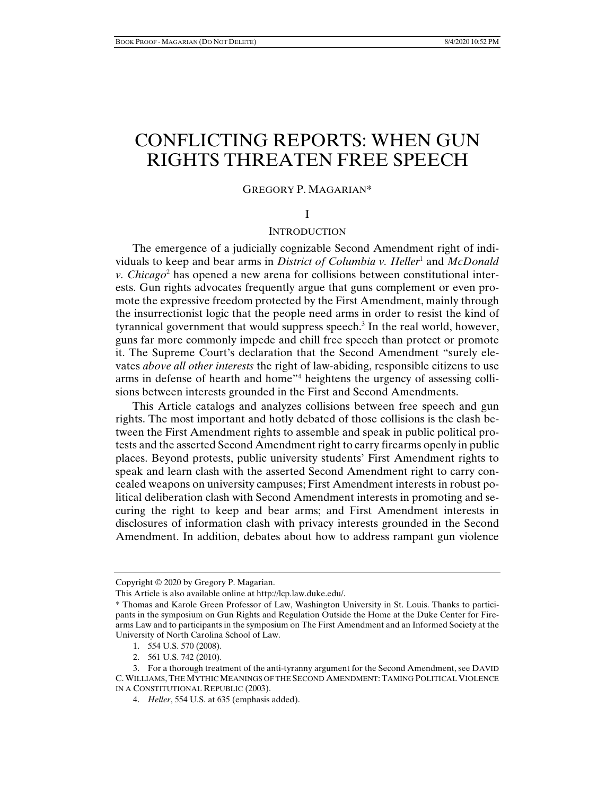# CONFLICTING REPORTS: WHEN GUN RIGHTS THREATEN FREE SPEECH

## GREGORY P. MAGARIAN\*

## I

## **INTRODUCTION**

The emergence of a judicially cognizable Second Amendment right of individuals to keep and bear arms in *District of Columbia v. Heller*<sup>1</sup> and *McDonald v. Chicago*<sup>2</sup> has opened a new arena for collisions between constitutional interests. Gun rights advocates frequently argue that guns complement or even promote the expressive freedom protected by the First Amendment, mainly through the insurrectionist logic that the people need arms in order to resist the kind of tyrannical government that would suppress speech.<sup>3</sup> In the real world, however, guns far more commonly impede and chill free speech than protect or promote it. The Supreme Court's declaration that the Second Amendment "surely elevates *above all other interests* the right of law-abiding, responsible citizens to use arms in defense of hearth and home"4 heightens the urgency of assessing collisions between interests grounded in the First and Second Amendments.

This Article catalogs and analyzes collisions between free speech and gun rights. The most important and hotly debated of those collisions is the clash between the First Amendment rights to assemble and speak in public political protests and the asserted Second Amendment right to carry firearms openly in public places. Beyond protests, public university students' First Amendment rights to speak and learn clash with the asserted Second Amendment right to carry concealed weapons on university campuses; First Amendment interests in robust political deliberation clash with Second Amendment interests in promoting and securing the right to keep and bear arms; and First Amendment interests in disclosures of information clash with privacy interests grounded in the Second Amendment. In addition, debates about how to address rampant gun violence

- 1. 554 U.S. 570 (2008).
- 2. 561 U.S. 742 (2010).

Copyright © 2020 by Gregory P. Magarian.

This Article is also available online at http://lcp.law.duke.edu/.

<sup>\*</sup> Thomas and Karole Green Professor of Law, Washington University in St. Louis. Thanks to participants in the symposium on Gun Rights and Regulation Outside the Home at the Duke Center for Firearms Law and to participants in the symposium on The First Amendment and an Informed Society at the University of North Carolina School of Law.

 <sup>3.</sup> For a thorough treatment of the anti-tyranny argument for the Second Amendment, see DAVID C.WILLIAMS,THE MYTHIC MEANINGS OF THE SECOND AMENDMENT: TAMING POLITICAL VIOLENCE IN A CONSTITUTIONAL REPUBLIC (2003).

 <sup>4.</sup> *Heller*, 554 U.S. at 635 (emphasis added).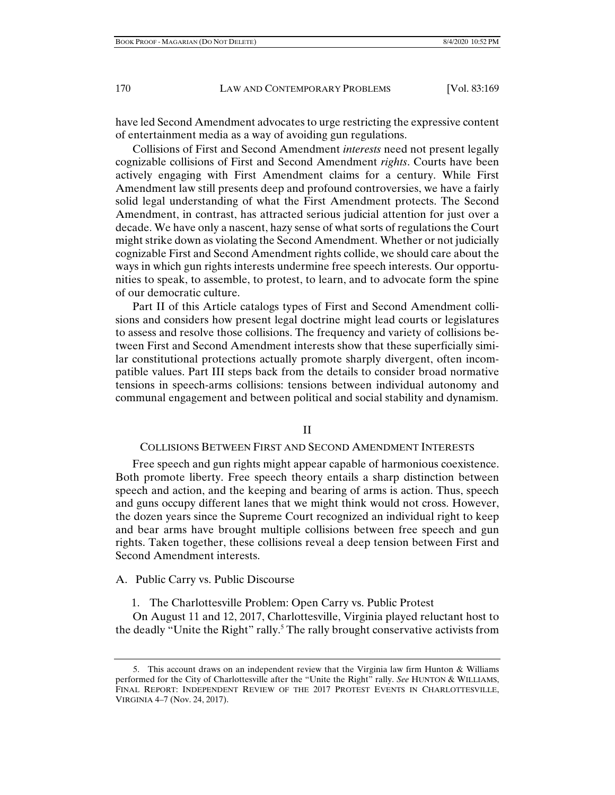have led Second Amendment advocates to urge restricting the expressive content of entertainment media as a way of avoiding gun regulations.

Collisions of First and Second Amendment *interests* need not present legally cognizable collisions of First and Second Amendment *rights*. Courts have been actively engaging with First Amendment claims for a century. While First Amendment law still presents deep and profound controversies, we have a fairly solid legal understanding of what the First Amendment protects. The Second Amendment, in contrast, has attracted serious judicial attention for just over a decade. We have only a nascent, hazy sense of what sorts of regulations the Court might strike down as violating the Second Amendment. Whether or not judicially cognizable First and Second Amendment rights collide, we should care about the ways in which gun rights interests undermine free speech interests. Our opportunities to speak, to assemble, to protest, to learn, and to advocate form the spine of our democratic culture.

Part II of this Article catalogs types of First and Second Amendment collisions and considers how present legal doctrine might lead courts or legislatures to assess and resolve those collisions. The frequency and variety of collisions between First and Second Amendment interests show that these superficially similar constitutional protections actually promote sharply divergent, often incompatible values. Part III steps back from the details to consider broad normative tensions in speech-arms collisions: tensions between individual autonomy and communal engagement and between political and social stability and dynamism.

II

#### COLLISIONS BETWEEN FIRST AND SECOND AMENDMENT INTERESTS

Free speech and gun rights might appear capable of harmonious coexistence. Both promote liberty. Free speech theory entails a sharp distinction between speech and action, and the keeping and bearing of arms is action. Thus, speech and guns occupy different lanes that we might think would not cross. However, the dozen years since the Supreme Court recognized an individual right to keep and bear arms have brought multiple collisions between free speech and gun rights. Taken together, these collisions reveal a deep tension between First and Second Amendment interests.

A. Public Carry vs. Public Discourse

1. The Charlottesville Problem: Open Carry vs. Public Protest

On August 11 and 12, 2017, Charlottesville, Virginia played reluctant host to the deadly "Unite the Right" rally.<sup>5</sup> The rally brought conservative activists from

 <sup>5.</sup> This account draws on an independent review that the Virginia law firm Hunton & Williams performed for the City of Charlottesville after the "Unite the Right" rally. *See* HUNTON & WILLIAMS, FINAL REPORT: INDEPENDENT REVIEW OF THE 2017 PROTEST EVENTS IN CHARLOTTESVILLE, VIRGINIA 4–7 (Nov. 24, 2017).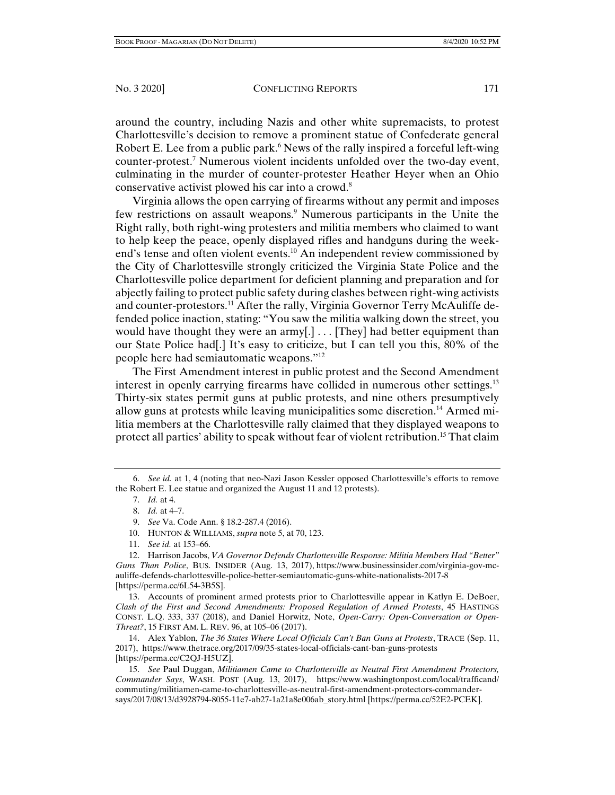around the country, including Nazis and other white supremacists, to protest Charlottesville's decision to remove a prominent statue of Confederate general Robert E. Lee from a public park.<sup>6</sup> News of the rally inspired a forceful left-wing counter-protest.7 Numerous violent incidents unfolded over the two-day event, culminating in the murder of counter-protester Heather Heyer when an Ohio conservative activist plowed his car into a crowd.8

Virginia allows the open carrying of firearms without any permit and imposes few restrictions on assault weapons.<sup>9</sup> Numerous participants in the Unite the Right rally, both right-wing protesters and militia members who claimed to want to help keep the peace, openly displayed rifles and handguns during the weekend's tense and often violent events.<sup>10</sup> An independent review commissioned by the City of Charlottesville strongly criticized the Virginia State Police and the Charlottesville police department for deficient planning and preparation and for abjectly failing to protect public safety during clashes between right-wing activists and counter-protestors.<sup>11</sup> After the rally, Virginia Governor Terry McAuliffe defended police inaction, stating: "You saw the militia walking down the street, you would have thought they were an army[.]  $\ldots$  [They] had better equipment than our State Police had[.] It's easy to criticize, but I can tell you this, 80% of the people here had semiautomatic weapons."12

The First Amendment interest in public protest and the Second Amendment interest in openly carrying firearms have collided in numerous other settings.13 Thirty-six states permit guns at public protests, and nine others presumptively allow guns at protests while leaving municipalities some discretion.14 Armed militia members at the Charlottesville rally claimed that they displayed weapons to protect all parties' ability to speak without fear of violent retribution.<sup>15</sup> That claim

- 10. HUNTON & WILLIAMS, *supra* note 5, at 70, 123.
- 11. *See id.* at 153–66.

 13. Accounts of prominent armed protests prior to Charlottesville appear in Katlyn E. DeBoer, *Clash of the First and Second Amendments: Proposed Regulation of Armed Protests*, 45 HASTINGS CONST. L.Q. 333, 337 (2018), and Daniel Horwitz, Note, *Open-Carry: Open-Conversation or Open-Threat?*, 15 FIRST AM. L. REV. 96, at 105–06 (2017).

 14. Alex Yablon, *The 36 States Where Local Officials Can't Ban Guns at Protests*, TRACE (Sep. 11, 2017), https://www.thetrace.org/2017/09/35-states-local-officials-cant-ban-guns-protests [https://perma.cc/C2QJ-H5UZ].

 15. *See* Paul Duggan, *Militiamen Came to Charlottesville as Neutral First Amendment Protectors, Commander Says*, WASH. POST (Aug. 13, 2017), https://www.washingtonpost.com/local/trafficand/ commuting/militiamen-came-to-charlottesville-as-neutral-first-amendment-protectors-commandersays/2017/08/13/d3928794-8055-11e7-ab27-1a21a8e006ab\_story.html [https://perma.cc/52E2-PCEK].

 <sup>6.</sup> *See id.* at 1, 4 (noting that neo-Nazi Jason Kessler opposed Charlottesville's efforts to remove the Robert E. Lee statue and organized the August 11 and 12 protests).

 <sup>7.</sup> *Id.* at 4.

 <sup>8.</sup> *Id.* at 4–7.

 <sup>9.</sup> *See* Va. Code Ann. § 18.2-287.4 (2016).

 <sup>12.</sup> Harrison Jacobs, *VA Governor Defends Charlottesville Response: Militia Members Had "Better" Guns Than Police*, BUS. INSIDER (Aug. 13, 2017), https://www.businessinsider.com/virginia-gov-mcauliffe-defends-charlottesville-police-better-semiautomatic-guns-white-nationalists-2017-8 [https://perma.cc/6L54-3B5S].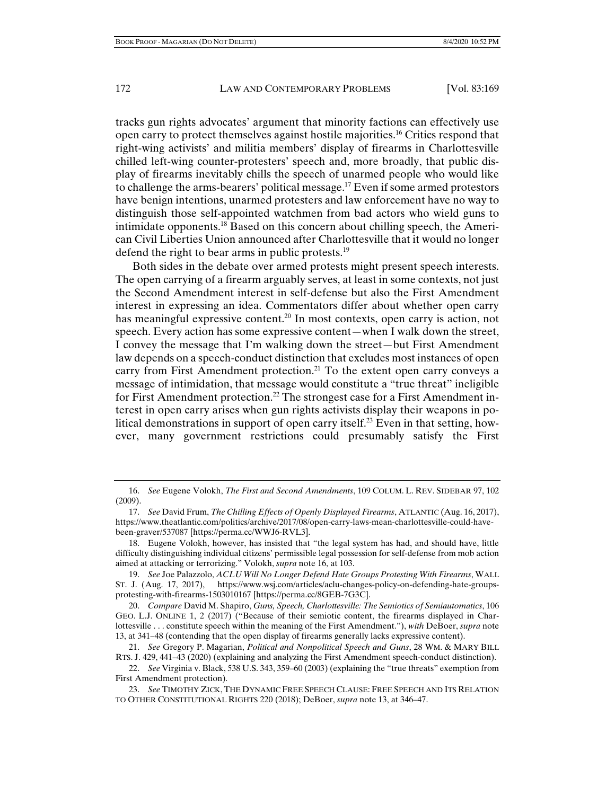tracks gun rights advocates' argument that minority factions can effectively use open carry to protect themselves against hostile majorities.16 Critics respond that right-wing activists' and militia members' display of firearms in Charlottesville chilled left-wing counter-protesters' speech and, more broadly, that public display of firearms inevitably chills the speech of unarmed people who would like to challenge the arms-bearers' political message.17 Even if some armed protestors have benign intentions, unarmed protesters and law enforcement have no way to distinguish those self-appointed watchmen from bad actors who wield guns to intimidate opponents.18 Based on this concern about chilling speech, the American Civil Liberties Union announced after Charlottesville that it would no longer defend the right to bear arms in public protests.<sup>19</sup>

Both sides in the debate over armed protests might present speech interests. The open carrying of a firearm arguably serves, at least in some contexts, not just the Second Amendment interest in self-defense but also the First Amendment interest in expressing an idea. Commentators differ about whether open carry has meaningful expressive content.<sup>20</sup> In most contexts, open carry is action, not speech. Every action has some expressive content—when I walk down the street, I convey the message that I'm walking down the street—but First Amendment law depends on a speech-conduct distinction that excludes most instances of open carry from First Amendment protection.<sup>21</sup> To the extent open carry conveys a message of intimidation, that message would constitute a "true threat" ineligible for First Amendment protection.<sup>22</sup> The strongest case for a First Amendment interest in open carry arises when gun rights activists display their weapons in political demonstrations in support of open carry itself.<sup>23</sup> Even in that setting, however, many government restrictions could presumably satisfy the First

 <sup>16.</sup> *See* Eugene Volokh, *The First and Second Amendments*, 109 COLUM. L. REV. SIDEBAR 97, 102 (2009).

 <sup>17.</sup> *See* David Frum, *The Chilling Effects of Openly Displayed Firearms*, ATLANTIC (Aug. 16, 2017), https://www.theatlantic.com/politics/archive/2017/08/open-carry-laws-mean-charlottesville-could-havebeen-graver/537087 [https://perma.cc/WWJ6-RVL3].

 <sup>18.</sup> Eugene Volokh, however, has insisted that "the legal system has had, and should have, little difficulty distinguishing individual citizens' permissible legal possession for self-defense from mob action aimed at attacking or terrorizing." Volokh, *supra* note 16, at 103.

 <sup>19.</sup> *See* Joe Palazzolo, *ACLU Will No Longer Defend Hate Groups Protesting With Firearms*, WALL ST. J. (Aug. 17, 2017), https://www.wsj.com/articles/aclu-changes-policy-on-defending-hate-groupsprotesting-with-firearms-1503010167 [https://perma.cc/8GEB-7G3C].

 <sup>20.</sup> *Compare* David M. Shapiro, *Guns, Speech, Charlottesville: The Semiotics of Semiautomatics*, 106 GEO. L.J. ONLINE 1, 2 (2017) ("Because of their semiotic content, the firearms displayed in Charlottesville . . . constitute speech within the meaning of the First Amendment."), *with* DeBoer, *supra* note 13, at 341–48 (contending that the open display of firearms generally lacks expressive content).

 <sup>21.</sup> *See* Gregory P. Magarian, *Political and Nonpolitical Speech and Guns*, 28 WM. & MARY BILL RTS. J. 429, 441–43 (2020) (explaining and analyzing the First Amendment speech-conduct distinction).

 <sup>22.</sup> *See* Virginia v. Black, 538 U.S. 343, 359–60 (2003) (explaining the "true threats" exemption from First Amendment protection).

 <sup>23.</sup> *See* TIMOTHY ZICK, THE DYNAMIC FREE SPEECH CLAUSE: FREE SPEECH AND ITS RELATION TO OTHER CONSTITUTIONAL RIGHTS 220 (2018); DeBoer, *supra* note 13, at 346–47.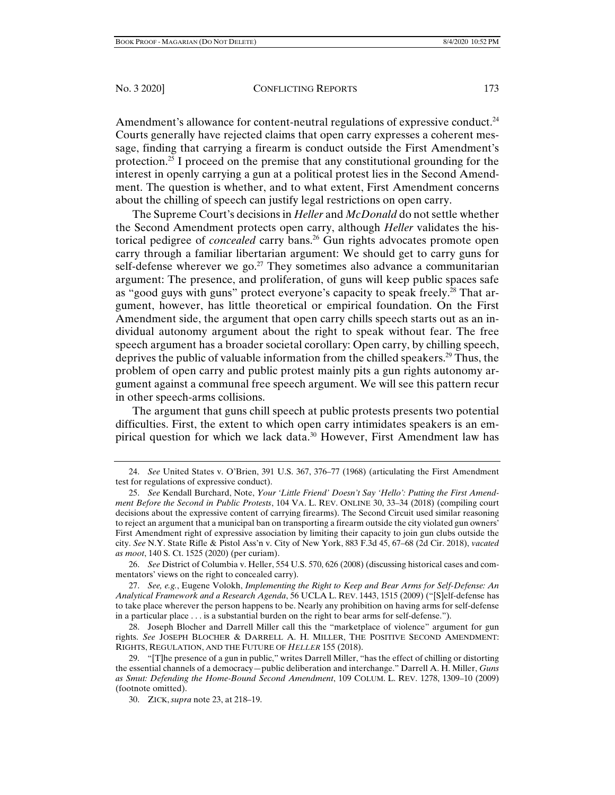Amendment's allowance for content-neutral regulations of expressive conduct.<sup>24</sup> Courts generally have rejected claims that open carry expresses a coherent message, finding that carrying a firearm is conduct outside the First Amendment's protection.25 I proceed on the premise that any constitutional grounding for the interest in openly carrying a gun at a political protest lies in the Second Amendment. The question is whether, and to what extent, First Amendment concerns about the chilling of speech can justify legal restrictions on open carry.

The Supreme Court's decisions in *Heller* and *McDonald* do not settle whether the Second Amendment protects open carry, although *Heller* validates the historical pedigree of *concealed* carry bans.26 Gun rights advocates promote open carry through a familiar libertarian argument: We should get to carry guns for self-defense wherever we go.<sup>27</sup> They sometimes also advance a communitarian argument: The presence, and proliferation, of guns will keep public spaces safe as "good guys with guns" protect everyone's capacity to speak freely.<sup>28</sup> That argument, however, has little theoretical or empirical foundation. On the First Amendment side, the argument that open carry chills speech starts out as an individual autonomy argument about the right to speak without fear. The free speech argument has a broader societal corollary: Open carry, by chilling speech, deprives the public of valuable information from the chilled speakers.29 Thus, the problem of open carry and public protest mainly pits a gun rights autonomy argument against a communal free speech argument. We will see this pattern recur in other speech-arms collisions.

The argument that guns chill speech at public protests presents two potential difficulties. First, the extent to which open carry intimidates speakers is an empirical question for which we lack data.<sup>30</sup> However, First Amendment law has

 26. *See* District of Columbia v. Heller, 554 U.S. 570, 626 (2008) (discussing historical cases and commentators' views on the right to concealed carry).

 27. *See, e.g.*, Eugene Volokh, *Implementing the Right to Keep and Bear Arms for Self-Defense: An Analytical Framework and a Research Agenda*, 56 UCLA L. REV. 1443, 1515 (2009) ("[S]elf-defense has to take place wherever the person happens to be. Nearly any prohibition on having arms for self-defense in a particular place . . . is a substantial burden on the right to bear arms for self-defense.").

 <sup>24.</sup> *See* United States v. O'Brien, 391 U.S. 367, 376–77 (1968) (articulating the First Amendment test for regulations of expressive conduct).

 <sup>25.</sup> *See* Kendall Burchard, Note, *Your 'Little Friend' Doesn't Say 'Hello': Putting the First Amendment Before the Second in Public Protests*, 104 VA. L. REV. ONLINE 30, 33–34 (2018) (compiling court decisions about the expressive content of carrying firearms). The Second Circuit used similar reasoning to reject an argument that a municipal ban on transporting a firearm outside the city violated gun owners' First Amendment right of expressive association by limiting their capacity to join gun clubs outside the city. *See* N.Y. State Rifle & Pistol Ass'n v. City of New York, 883 F.3d 45, 67–68 (2d Cir. 2018), *vacated as moot*, 140 S. Ct. 1525 (2020) (per curiam).

 <sup>28.</sup> Joseph Blocher and Darrell Miller call this the "marketplace of violence" argument for gun rights. *See* JOSEPH BLOCHER & DARRELL A. H. MILLER, THE POSITIVE SECOND AMENDMENT: RIGHTS, REGULATION, AND THE FUTURE OF *HELLER* 155 (2018).

 <sup>29. &</sup>quot;[T]he presence of a gun in public," writes Darrell Miller, "has the effect of chilling or distorting the essential channels of a democracy—public deliberation and interchange." Darrell A. H. Miller, *Guns as Smut: Defending the Home-Bound Second Amendment*, 109 COLUM. L. REV. 1278, 1309–10 (2009) (footnote omitted).

 <sup>30.</sup> ZICK, *supra* note 23, at 218–19.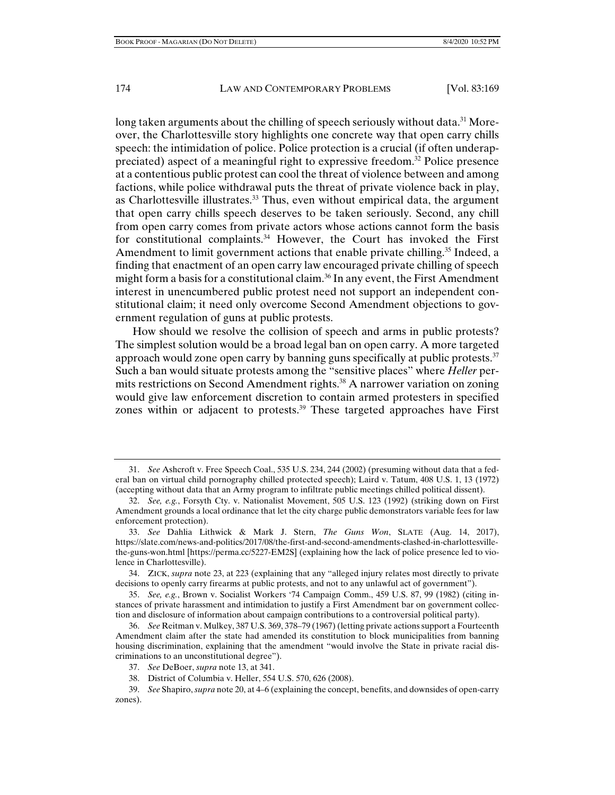long taken arguments about the chilling of speech seriously without data.<sup>31</sup> Moreover, the Charlottesville story highlights one concrete way that open carry chills speech: the intimidation of police. Police protection is a crucial (if often underappreciated) aspect of a meaningful right to expressive freedom.32 Police presence at a contentious public protest can cool the threat of violence between and among factions, while police withdrawal puts the threat of private violence back in play, as Charlottesville illustrates.<sup>33</sup> Thus, even without empirical data, the argument that open carry chills speech deserves to be taken seriously. Second, any chill from open carry comes from private actors whose actions cannot form the basis for constitutional complaints.<sup>34</sup> However, the Court has invoked the First Amendment to limit government actions that enable private chilling.<sup>35</sup> Indeed, a finding that enactment of an open carry law encouraged private chilling of speech might form a basis for a constitutional claim.<sup>36</sup> In any event, the First Amendment interest in unencumbered public protest need not support an independent constitutional claim; it need only overcome Second Amendment objections to government regulation of guns at public protests.

How should we resolve the collision of speech and arms in public protests? The simplest solution would be a broad legal ban on open carry. A more targeted approach would zone open carry by banning guns specifically at public protests.<sup>37</sup> Such a ban would situate protests among the "sensitive places" where *Heller* permits restrictions on Second Amendment rights.<sup>38</sup> A narrower variation on zoning would give law enforcement discretion to contain armed protesters in specified zones within or adjacent to protests.<sup>39</sup> These targeted approaches have First

 <sup>31.</sup> *See* Ashcroft v. Free Speech Coal., 535 U.S. 234, 244 (2002) (presuming without data that a federal ban on virtual child pornography chilled protected speech); Laird v. Tatum, 408 U.S. 1, 13 (1972) (accepting without data that an Army program to infiltrate public meetings chilled political dissent).

 <sup>32.</sup> *See, e.g.*, Forsyth Cty. v. Nationalist Movement, 505 U.S. 123 (1992) (striking down on First Amendment grounds a local ordinance that let the city charge public demonstrators variable fees for law enforcement protection).

 <sup>33.</sup> *See* Dahlia Lithwick & Mark J. Stern, *The Guns Won*, SLATE (Aug. 14, 2017), https://slate.com/news-and-politics/2017/08/the-first-and-second-amendments-clashed-in-charlottesvillethe-guns-won.html [https://perma.cc/5227-EM2S] (explaining how the lack of police presence led to violence in Charlottesville).

 <sup>34.</sup> ZICK, *supra* note 23, at 223 (explaining that any "alleged injury relates most directly to private decisions to openly carry firearms at public protests, and not to any unlawful act of government").

 <sup>35.</sup> *See, e.g.*, Brown v. Socialist Workers '74 Campaign Comm., 459 U.S. 87, 99 (1982) (citing instances of private harassment and intimidation to justify a First Amendment bar on government collection and disclosure of information about campaign contributions to a controversial political party).

 <sup>36.</sup> *See* Reitman v. Mulkey, 387 U.S. 369, 378–79 (1967) (letting private actions support a Fourteenth Amendment claim after the state had amended its constitution to block municipalities from banning housing discrimination, explaining that the amendment "would involve the State in private racial discriminations to an unconstitutional degree").

 <sup>37.</sup> *See* DeBoer, *supra* note 13, at 341.

 <sup>38.</sup> District of Columbia v. Heller, 554 U.S. 570, 626 (2008).

 <sup>39.</sup> *See* Shapiro, *supra* note 20, at 4–6 (explaining the concept, benefits, and downsides of open-carry zones).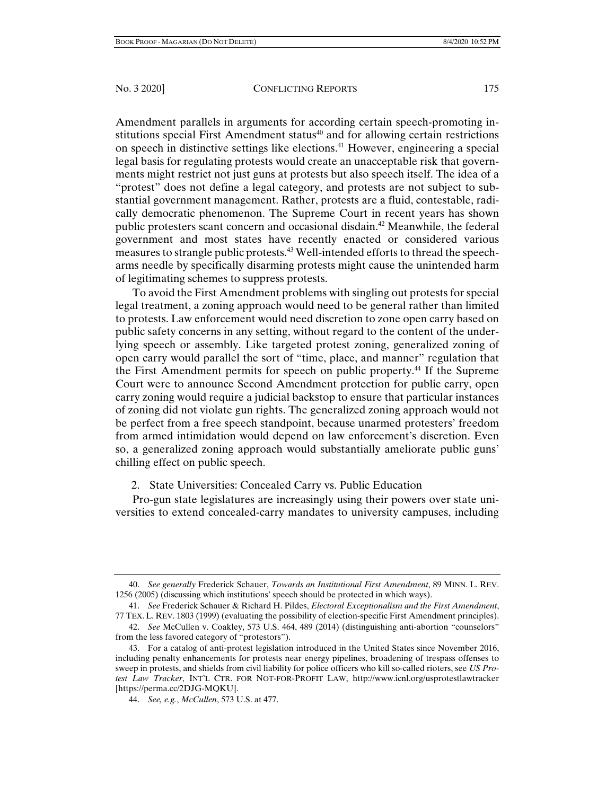Amendment parallels in arguments for according certain speech-promoting institutions special First Amendment status<sup>40</sup> and for allowing certain restrictions on speech in distinctive settings like elections.41 However, engineering a special legal basis for regulating protests would create an unacceptable risk that governments might restrict not just guns at protests but also speech itself. The idea of a "protest" does not define a legal category, and protests are not subject to substantial government management. Rather, protests are a fluid, contestable, radically democratic phenomenon. The Supreme Court in recent years has shown public protesters scant concern and occasional disdain.<sup>42</sup> Meanwhile, the federal government and most states have recently enacted or considered various measures to strangle public protests.<sup>43</sup> Well-intended efforts to thread the speecharms needle by specifically disarming protests might cause the unintended harm of legitimating schemes to suppress protests.

To avoid the First Amendment problems with singling out protests for special legal treatment, a zoning approach would need to be general rather than limited to protests. Law enforcement would need discretion to zone open carry based on public safety concerns in any setting, without regard to the content of the underlying speech or assembly. Like targeted protest zoning, generalized zoning of open carry would parallel the sort of "time, place, and manner" regulation that the First Amendment permits for speech on public property.44 If the Supreme Court were to announce Second Amendment protection for public carry, open carry zoning would require a judicial backstop to ensure that particular instances of zoning did not violate gun rights. The generalized zoning approach would not be perfect from a free speech standpoint, because unarmed protesters' freedom from armed intimidation would depend on law enforcement's discretion. Even so, a generalized zoning approach would substantially ameliorate public guns' chilling effect on public speech.

# 2. State Universities: Concealed Carry vs. Public Education

Pro-gun state legislatures are increasingly using their powers over state universities to extend concealed-carry mandates to university campuses, including

 <sup>40.</sup> *See generally* Frederick Schauer, *Towards an Institutional First Amendment*, 89 MINN. L. REV. 1256 (2005) (discussing which institutions' speech should be protected in which ways).

 <sup>41.</sup> *See* Frederick Schauer & Richard H. Pildes, *Electoral Exceptionalism and the First Amendment*, 77 TEX. L. REV. 1803 (1999) (evaluating the possibility of election-specific First Amendment principles).

 <sup>42.</sup> *See* McCullen v. Coakley, 573 U.S. 464, 489 (2014) (distinguishing anti-abortion "counselors" from the less favored category of "protestors").

 <sup>43.</sup> For a catalog of anti-protest legislation introduced in the United States since November 2016, including penalty enhancements for protests near energy pipelines, broadening of trespass offenses to sweep in protests, and shields from civil liability for police officers who kill so-called rioters, see *US Protest Law Tracker*, INT'L CTR. FOR NOT-FOR-PROFIT LAW, http://www.icnl.org/usprotestlawtracker [https://perma.cc/2DJG-MQKU].

 <sup>44.</sup> *See, e.g.*, *McCullen*, 573 U.S. at 477.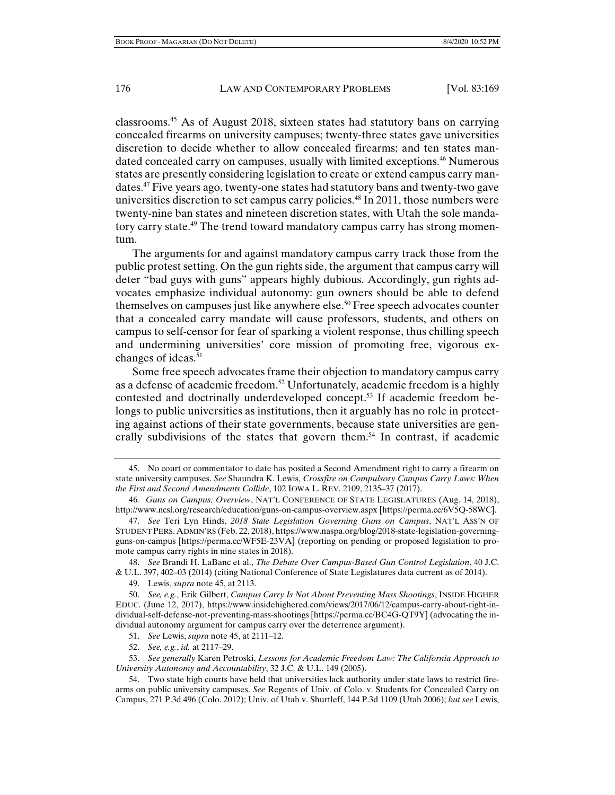classrooms.45 As of August 2018, sixteen states had statutory bans on carrying concealed firearms on university campuses; twenty-three states gave universities discretion to decide whether to allow concealed firearms; and ten states mandated concealed carry on campuses, usually with limited exceptions.46 Numerous states are presently considering legislation to create or extend campus carry mandates.<sup>47</sup> Five years ago, twenty-one states had statutory bans and twenty-two gave universities discretion to set campus carry policies.<sup>48</sup> In 2011, those numbers were twenty-nine ban states and nineteen discretion states, with Utah the sole mandatory carry state.<sup>49</sup> The trend toward mandatory campus carry has strong momentum.

The arguments for and against mandatory campus carry track those from the public protest setting. On the gun rights side, the argument that campus carry will deter "bad guys with guns" appears highly dubious. Accordingly, gun rights advocates emphasize individual autonomy: gun owners should be able to defend themselves on campuses just like anywhere else.<sup>50</sup> Free speech advocates counter that a concealed carry mandate will cause professors, students, and others on campus to self-censor for fear of sparking a violent response, thus chilling speech and undermining universities' core mission of promoting free, vigorous exchanges of ideas. $51$ 

Some free speech advocates frame their objection to mandatory campus carry as a defense of academic freedom.52 Unfortunately, academic freedom is a highly contested and doctrinally underdeveloped concept.<sup>53</sup> If academic freedom belongs to public universities as institutions, then it arguably has no role in protecting against actions of their state governments, because state universities are generally subdivisions of the states that govern them.<sup>54</sup> In contrast, if academic

 48. *See* Brandi H. LaBanc et al., *The Debate Over Campus-Based Gun Control Legislation*, 40 J.C. & U.L. 397, 402–03 (2014) (citing National Conference of State Legislatures data current as of 2014).

49. Lewis, *supra* note 45, at 2113.

 50. *See, e.g.*, Erik Gilbert, *Campus Carry Is Not About Preventing Mass Shootings*, INSIDE HIGHER EDUC. (June 12, 2017), https://www.insidehighered.com/views/2017/06/12/campus-carry-about-right-individual-self-defense-not-preventing-mass-shootings [https://perma.cc/BC4G-QT9Y] (advocating the individual autonomy argument for campus carry over the deterrence argument).

51. *See* Lewis, *supra* note 45, at 2111–12.

52. *See, e.g.*, *id.* at 2117–29.

 <sup>45.</sup> No court or commentator to date has posited a Second Amendment right to carry a firearm on state university campuses. *See* Shaundra K. Lewis, *Crossfire on Compulsory Campus Carry Laws: When the First and Second Amendments Collide*, 102 IOWA L. REV. 2109, 2135–37 (2017).

<sup>46</sup>*. Guns on Campus: Overview*, NAT'L CONFERENCE OF STATE LEGISLATURES (Aug. 14, 2018), http://www.ncsl.org/research/education/guns-on-campus-overview.aspx [https://perma.cc/6V5Q-58WC].

 <sup>47.</sup> *See* Teri Lyn Hinds, *2018 State Legislation Governing Guns on Campus*, NAT'L ASS'N OF STUDENT PERS. ADMIN'RS (Feb. 22, 2018), https://www.naspa.org/blog/2018-state-legislation-governingguns-on-campus [https://perma.cc/WF5E-23VA] (reporting on pending or proposed legislation to promote campus carry rights in nine states in 2018).

 <sup>53.</sup> *See generally* Karen Petroski, *Lessons for Academic Freedom Law: The California Approach to University Autonomy and Accountability*, 32 J.C. & U.L. 149 (2005).

 <sup>54.</sup> Two state high courts have held that universities lack authority under state laws to restrict firearms on public university campuses. *See* Regents of Univ. of Colo. v. Students for Concealed Carry on Campus, 271 P.3d 496 (Colo. 2012); Univ. of Utah v. Shurtleff, 144 P.3d 1109 (Utah 2006); *but see* Lewis,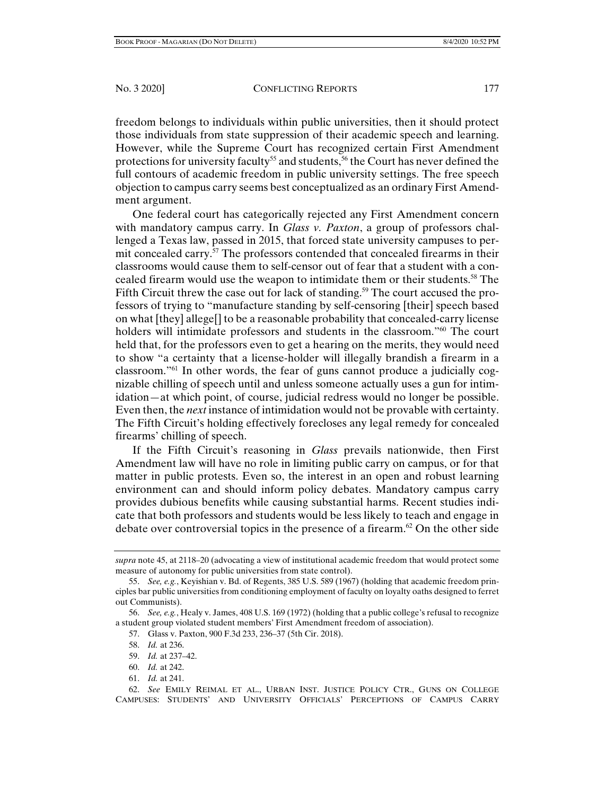freedom belongs to individuals within public universities, then it should protect those individuals from state suppression of their academic speech and learning. However, while the Supreme Court has recognized certain First Amendment protections for university faculty<sup>55</sup> and students,<sup>56</sup> the Court has never defined the full contours of academic freedom in public university settings. The free speech objection to campus carry seems best conceptualized as an ordinary First Amendment argument.

One federal court has categorically rejected any First Amendment concern with mandatory campus carry. In *Glass v. Paxton*, a group of professors challenged a Texas law, passed in 2015, that forced state university campuses to permit concealed carry. $\frac{57}{7}$  The professors contended that concealed firearms in their classrooms would cause them to self-censor out of fear that a student with a concealed firearm would use the weapon to intimidate them or their students.58 The Fifth Circuit threw the case out for lack of standing.<sup>59</sup> The court accused the professors of trying to "manufacture standing by self-censoring [their] speech based on what [they] allege[] to be a reasonable probability that concealed-carry license holders will intimidate professors and students in the classroom."<sup>60</sup> The court held that, for the professors even to get a hearing on the merits, they would need to show "a certainty that a license-holder will illegally brandish a firearm in a classroom."61 In other words, the fear of guns cannot produce a judicially cognizable chilling of speech until and unless someone actually uses a gun for intimidation—at which point, of course, judicial redress would no longer be possible. Even then, the *next* instance of intimidation would not be provable with certainty. The Fifth Circuit's holding effectively forecloses any legal remedy for concealed firearms' chilling of speech.

If the Fifth Circuit's reasoning in *Glass* prevails nationwide, then First Amendment law will have no role in limiting public carry on campus, or for that matter in public protests. Even so, the interest in an open and robust learning environment can and should inform policy debates. Mandatory campus carry provides dubious benefits while causing substantial harms. Recent studies indicate that both professors and students would be less likely to teach and engage in debate over controversial topics in the presence of a firearm.<sup>62</sup> On the other side

- 59. *Id.* at 237–42.
- 60. *Id.* at 242.
- 61. *Id.* at 241.

*supra* note 45, at 2118–20 (advocating a view of institutional academic freedom that would protect some measure of autonomy for public universities from state control).

 <sup>55.</sup> *See, e.g.*, Keyishian v. Bd. of Regents, 385 U.S. 589 (1967) (holding that academic freedom principles bar public universities from conditioning employment of faculty on loyalty oaths designed to ferret out Communists).

 <sup>56.</sup> *See, e.g.*, Healy v. James, 408 U.S. 169 (1972) (holding that a public college's refusal to recognize a student group violated student members' First Amendment freedom of association).

 <sup>57.</sup> Glass v. Paxton, 900 F.3d 233, 236–37 (5th Cir. 2018).

 <sup>58.</sup> *Id.* at 236.

 <sup>62.</sup> *See* EMILY REIMAL ET AL., URBAN INST. JUSTICE POLICY CTR., GUNS ON COLLEGE CAMPUSES: STUDENTS' AND UNIVERSITY OFFICIALS' PERCEPTIONS OF CAMPUS CARRY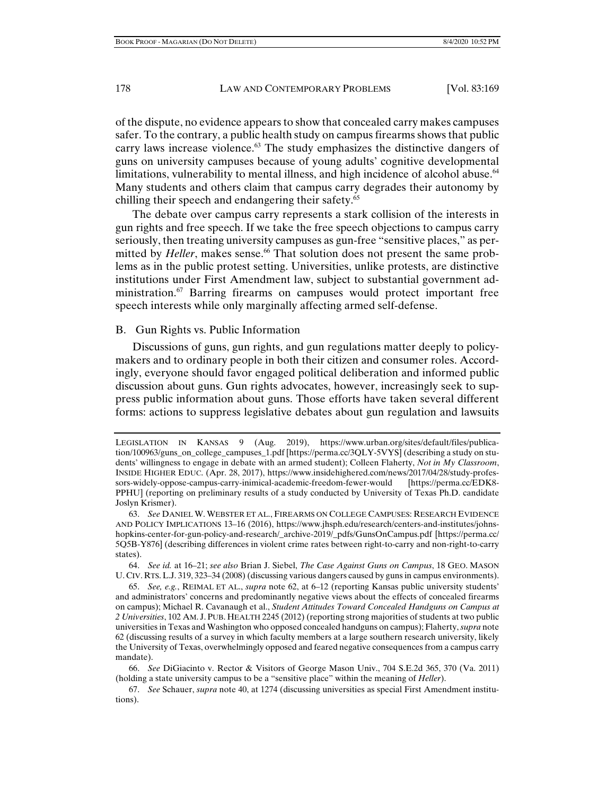of the dispute, no evidence appears to show that concealed carry makes campuses safer. To the contrary, a public health study on campus firearms shows that public carry laws increase violence.<sup>63</sup> The study emphasizes the distinctive dangers of guns on university campuses because of young adults' cognitive developmental limitations, vulnerability to mental illness, and high incidence of alcohol abuse.<sup>64</sup> Many students and others claim that campus carry degrades their autonomy by chilling their speech and endangering their safety.<sup>65</sup>

The debate over campus carry represents a stark collision of the interests in gun rights and free speech. If we take the free speech objections to campus carry seriously, then treating university campuses as gun-free "sensitive places," as permitted by *Heller*, makes sense.<sup>66</sup> That solution does not present the same problems as in the public protest setting. Universities, unlike protests, are distinctive institutions under First Amendment law, subject to substantial government administration.67 Barring firearms on campuses would protect important free speech interests while only marginally affecting armed self-defense.

## B. Gun Rights vs. Public Information

Discussions of guns, gun rights, and gun regulations matter deeply to policymakers and to ordinary people in both their citizen and consumer roles. Accordingly, everyone should favor engaged political deliberation and informed public discussion about guns. Gun rights advocates, however, increasingly seek to suppress public information about guns. Those efforts have taken several different forms: actions to suppress legislative debates about gun regulation and lawsuits

 64. *See id.* at 16–21; *see also* Brian J. Siebel, *The Case Against Guns on Campus*, 18 GEO. MASON U. CIV. RTS.L.J. 319, 323–34 (2008) (discussing various dangers caused by guns in campus environments).

 65. *See, e.g.*, REIMAL ET AL., *supra* note 62, at 6–12 (reporting Kansas public university students' and administrators' concerns and predominantly negative views about the effects of concealed firearms on campus); Michael R. Cavanaugh et al., *Student Attitudes Toward Concealed Handguns on Campus at 2 Universities*, 102 AM. J. PUB. HEALTH 2245 (2012) (reporting strong majorities of students at two public universities in Texas and Washington who opposed concealed handguns on campus); Flaherty, *supra* note 62 (discussing results of a survey in which faculty members at a large southern research university, likely the University of Texas, overwhelmingly opposed and feared negative consequences from a campus carry mandate).

LEGISLATION IN KANSAS 9 (Aug. 2019), https://www.urban.org/sites/default/files/publication/100963/guns\_on\_college\_campuses\_1.pdf [https://perma.cc/3QLY-5VYS] (describing a study on students' willingness to engage in debate with an armed student); Colleen Flaherty, *Not in My Classroom*, INSIDE HIGHER EDUC. (Apr. 28, 2017), https://www.insidehighered.com/news/2017/04/28/study-professors-widely-oppose-campus-carry-inimical-academic-freedom-fewer-would [https://perma.cc/EDK8- PPHU] (reporting on preliminary results of a study conducted by University of Texas Ph.D. candidate Joslyn Krismer).

 <sup>63.</sup> *See* DANIEL W. WEBSTER ET AL., FIREARMS ON COLLEGE CAMPUSES: RESEARCH EVIDENCE AND POLICY IMPLICATIONS 13–16 (2016), https://www.jhsph.edu/research/centers-and-institutes/johnshopkins-center-for-gun-policy-and-research/\_archive-2019/\_pdfs/GunsOnCampus.pdf [https://perma.cc/ 5Q5B-Y876] (describing differences in violent crime rates between right-to-carry and non-right-to-carry states).

 <sup>66.</sup> *See* DiGiacinto v. Rector & Visitors of George Mason Univ., 704 S.E.2d 365, 370 (Va. 2011) (holding a state university campus to be a "sensitive place" within the meaning of *Heller*).

 <sup>67.</sup> *See* Schauer, *supra* note 40, at 1274 (discussing universities as special First Amendment institutions).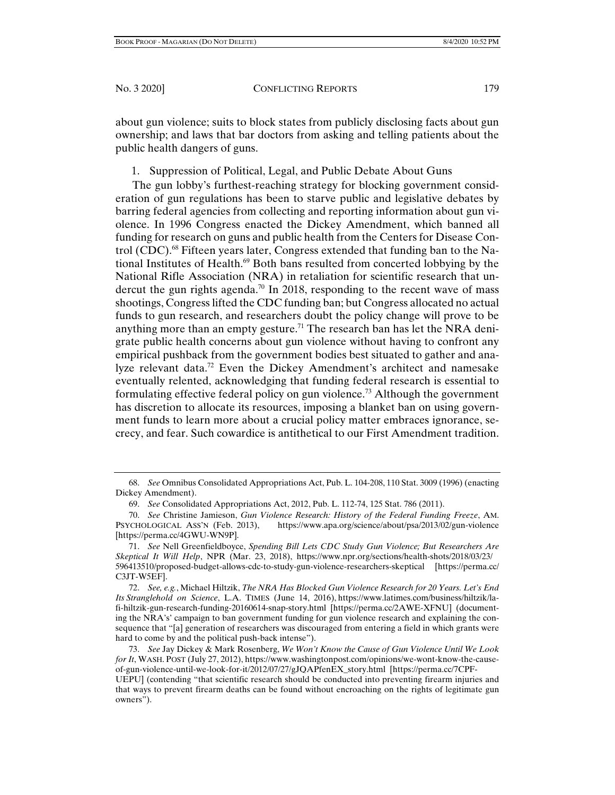about gun violence; suits to block states from publicly disclosing facts about gun ownership; and laws that bar doctors from asking and telling patients about the public health dangers of guns.

1. Suppression of Political, Legal, and Public Debate About Guns

The gun lobby's furthest-reaching strategy for blocking government consideration of gun regulations has been to starve public and legislative debates by barring federal agencies from collecting and reporting information about gun violence. In 1996 Congress enacted the Dickey Amendment, which banned all funding for research on guns and public health from the Centers for Disease Control (CDC).<sup>68</sup> Fifteen years later, Congress extended that funding ban to the National Institutes of Health.<sup>69</sup> Both bans resulted from concerted lobbying by the National Rifle Association (NRA) in retaliation for scientific research that undercut the gun rights agenda.<sup>70</sup> In 2018, responding to the recent wave of mass shootings, Congress lifted the CDC funding ban; but Congress allocated no actual funds to gun research, and researchers doubt the policy change will prove to be anything more than an empty gesture.<sup>71</sup> The research ban has let the NRA denigrate public health concerns about gun violence without having to confront any empirical pushback from the government bodies best situated to gather and analyze relevant data.<sup>72</sup> Even the Dickey Amendment's architect and namesake eventually relented, acknowledging that funding federal research is essential to formulating effective federal policy on gun violence.<sup>73</sup> Although the government has discretion to allocate its resources, imposing a blanket ban on using government funds to learn more about a crucial policy matter embraces ignorance, secrecy, and fear. Such cowardice is antithetical to our First Amendment tradition.

 <sup>68.</sup> *See* Omnibus Consolidated Appropriations Act, Pub. L. 104-208, 110 Stat. 3009 (1996) (enacting Dickey Amendment).

 <sup>69.</sup> *See* Consolidated Appropriations Act, 2012, Pub. L. 112-74, 125 Stat. 786 (2011).

 <sup>70.</sup> *See* Christine Jamieson, *Gun Violence Research: History of the Federal Funding Freeze*, AM. PSYCHOLOGICAL ASS'N (Feb. 2013), https://www.apa.org/science/about/psa/2013/02/gun-violence [https://perma.cc/4GWU-WN9P].

 <sup>71.</sup> *See* Nell Greenfieldboyce, *Spending Bill Lets CDC Study Gun Violence; But Researchers Are Skeptical It Will Help*, NPR (Mar. 23, 2018), https://www.npr.org/sections/health-shots/2018/03/23/ 596413510/proposed-budget-allows-cdc-to-study-gun-violence-researchers-skeptical [https://perma.cc/ C3JT-W5EF].

 <sup>72.</sup> *See, e.g.*, Michael Hiltzik, *The NRA Has Blocked Gun Violence Research for 20 Years. Let's End Its Stranglehold on Science*, L.A. TIMES (June 14, 2016), https://www.latimes.com/business/hiltzik/lafi-hiltzik-gun-research-funding-20160614-snap-story.html [https://perma.cc/2AWE-XFNU] (documenting the NRA's' campaign to ban government funding for gun violence research and explaining the consequence that "[a] generation of researchers was discouraged from entering a field in which grants were hard to come by and the political push-back intense").

 <sup>73.</sup> *See* Jay Dickey & Mark Rosenberg, *We Won't Know the Cause of Gun Violence Until We Look for It*, WASH. POST (July 27, 2012), https://www.washingtonpost.com/opinions/we-wont-know-the-causeof-gun-violence-until-we-look-for-it/2012/07/27/gJQAPfenEX\_story.html [https://perma.cc/7CPF-

UEPU] (contending "that scientific research should be conducted into preventing firearm injuries and that ways to prevent firearm deaths can be found without encroaching on the rights of legitimate gun owners").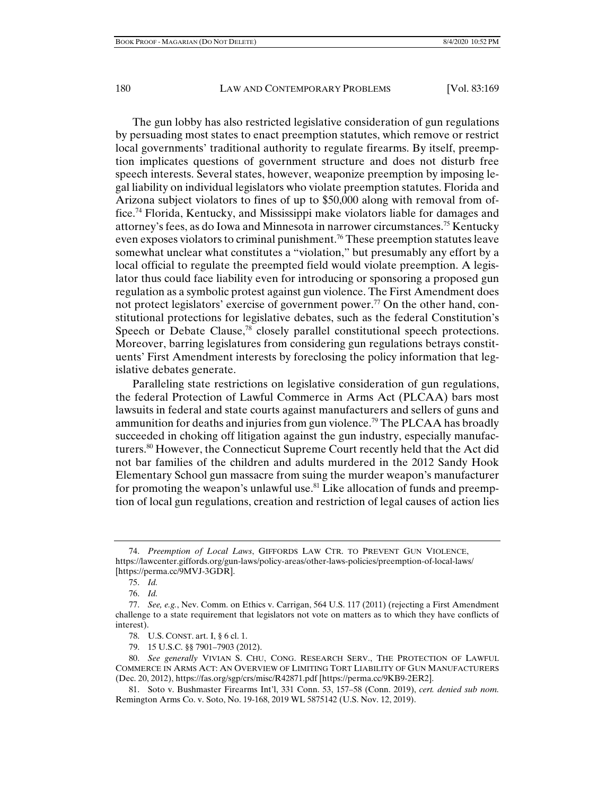The gun lobby has also restricted legislative consideration of gun regulations by persuading most states to enact preemption statutes, which remove or restrict local governments' traditional authority to regulate firearms. By itself, preemption implicates questions of government structure and does not disturb free speech interests. Several states, however, weaponize preemption by imposing legal liability on individual legislators who violate preemption statutes. Florida and Arizona subject violators to fines of up to \$50,000 along with removal from office.74 Florida, Kentucky, and Mississippi make violators liable for damages and attorney's fees, as do Iowa and Minnesota in narrower circumstances.75 Kentucky even exposes violators to criminal punishment.<sup>76</sup> These preemption statutes leave somewhat unclear what constitutes a "violation," but presumably any effort by a local official to regulate the preempted field would violate preemption. A legislator thus could face liability even for introducing or sponsoring a proposed gun regulation as a symbolic protest against gun violence. The First Amendment does not protect legislators' exercise of government power.<sup>77</sup> On the other hand, constitutional protections for legislative debates, such as the federal Constitution's Speech or Debate Clause,<sup>78</sup> closely parallel constitutional speech protections. Moreover, barring legislatures from considering gun regulations betrays constituents' First Amendment interests by foreclosing the policy information that legislative debates generate.

Paralleling state restrictions on legislative consideration of gun regulations, the federal Protection of Lawful Commerce in Arms Act (PLCAA) bars most lawsuits in federal and state courts against manufacturers and sellers of guns and ammunition for deaths and injuries from gun violence.<sup>79</sup> The PLCAA has broadly succeeded in choking off litigation against the gun industry, especially manufacturers.80 However, the Connecticut Supreme Court recently held that the Act did not bar families of the children and adults murdered in the 2012 Sandy Hook Elementary School gun massacre from suing the murder weapon's manufacturer for promoting the weapon's unlawful use.<sup>81</sup> Like allocation of funds and preemption of local gun regulations, creation and restriction of legal causes of action lies

79. 15 U.S.C. §§ 7901–7903 (2012).

 <sup>74.</sup> *Preemption of Local Laws*, GIFFORDS LAW CTR. TO PREVENT GUN VIOLENCE, https://lawcenter.giffords.org/gun-laws/policy-areas/other-laws-policies/preemption-of-local-laws/ [https://perma.cc/9MVJ-3GDR].

 <sup>75.</sup> *Id.* 

 <sup>76.</sup> *Id.* 

 <sup>77.</sup> *See, e.g.*, Nev. Comm. on Ethics v. Carrigan, 564 U.S. 117 (2011) (rejecting a First Amendment challenge to a state requirement that legislators not vote on matters as to which they have conflicts of interest).

 <sup>78.</sup> U.S. CONST. art. I, § 6 cl. 1.

 <sup>80.</sup> *See generally* VIVIAN S. CHU, CONG. RESEARCH SERV., THE PROTECTION OF LAWFUL COMMERCE IN ARMS ACT: AN OVERVIEW OF LIMITING TORT LIABILITY OF GUN MANUFACTURERS (Dec. 20, 2012), https://fas.org/sgp/crs/misc/R42871.pdf [https://perma.cc/9KB9-2ER2].

 <sup>81.</sup> Soto v. Bushmaster Firearms Int'l, 331 Conn. 53, 157–58 (Conn. 2019), *cert. denied sub nom.* Remington Arms Co. v. Soto, No. 19-168, 2019 WL 5875142 (U.S. Nov. 12, 2019).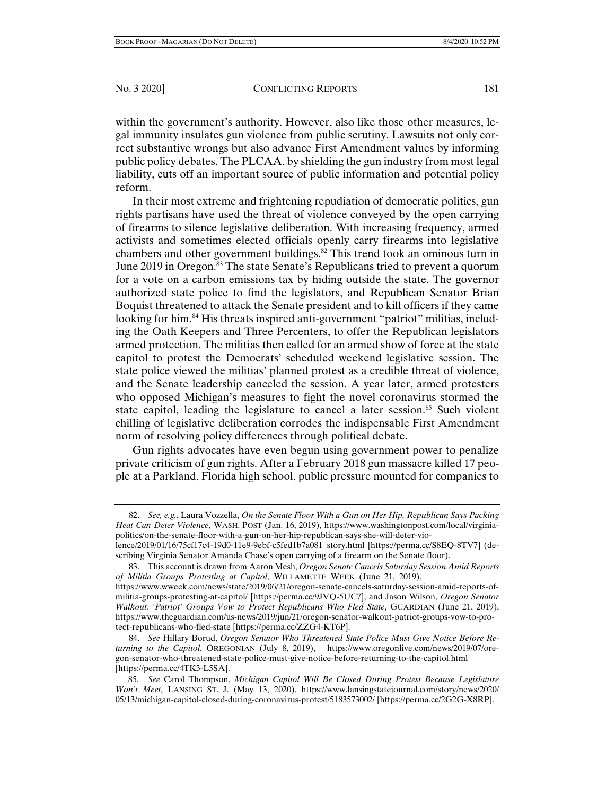within the government's authority. However, also like those other measures, legal immunity insulates gun violence from public scrutiny. Lawsuits not only correct substantive wrongs but also advance First Amendment values by informing public policy debates. The PLCAA, by shielding the gun industry from most legal liability, cuts off an important source of public information and potential policy reform.

In their most extreme and frightening repudiation of democratic politics, gun rights partisans have used the threat of violence conveyed by the open carrying of firearms to silence legislative deliberation. With increasing frequency, armed activists and sometimes elected officials openly carry firearms into legislative chambers and other government buildings.<sup>82</sup> This trend took an ominous turn in June 2019 in Oregon.<sup>83</sup> The state Senate's Republicans tried to prevent a quorum for a vote on a carbon emissions tax by hiding outside the state. The governor authorized state police to find the legislators, and Republican Senator Brian Boquist threatened to attack the Senate president and to kill officers if they came looking for him.<sup>84</sup> His threats inspired anti-government "patriot" militias, including the Oath Keepers and Three Percenters, to offer the Republican legislators armed protection. The militias then called for an armed show of force at the state capitol to protest the Democrats' scheduled weekend legislative session. The state police viewed the militias' planned protest as a credible threat of violence, and the Senate leadership canceled the session. A year later, armed protesters who opposed Michigan's measures to fight the novel coronavirus stormed the state capitol, leading the legislature to cancel a later session.<sup>85</sup> Such violent chilling of legislative deliberation corrodes the indispensable First Amendment norm of resolving policy differences through political debate.

Gun rights advocates have even begun using government power to penalize private criticism of gun rights. After a February 2018 gun massacre killed 17 people at a Parkland, Florida high school, public pressure mounted for companies to

 <sup>82.</sup> *See, e.g.*, Laura Vozzella, *On the Senate Floor With a Gun on Her Hip, Republican Says Packing Heat Can Deter Violence*, WASH. POST (Jan. 16, 2019), https://www.washingtonpost.com/local/virginiapolitics/on-the-senate-floor-with-a-gun-on-her-hip-republican-says-she-will-deter-violence/2019/01/16/75cf17c4-19d0-11e9-9ebf-c5fed1b7a081\_story.html [https://perma.cc/S8EQ-8TV7] (describing Virginia Senator Amanda Chase's open carrying of a firearm on the Senate floor).

 <sup>83.</sup> This account is drawn from Aaron Mesh, *Oregon Senate Cancels Saturday Session Amid Reports of Militia Groups Protesting at Capitol*, WILLAMETTE WEEK (June 21, 2019),

https://www.wweek.com/news/state/2019/06/21/oregon-senate-cancels-saturday-session-amid-reports-ofmilitia-groups-protesting-at-capitol/ [https://perma.cc/9JVQ-5UC7], and Jason Wilson, *Oregon Senator Walkout: 'Patriot' Groups Vow to Protect Republicans Who Fled State*, GUARDIAN (June 21, 2019), https://www.theguardian.com/us-news/2019/jun/21/oregon-senator-walkout-patriot-groups-vow-to-protect-republicans-who-fled-state [https://perma.cc/ZZG4-KT6P].

 <sup>84.</sup> *See* Hillary Borud, *Oregon Senator Who Threatened State Police Must Give Notice Before Returning to the Capitol*, OREGONIAN (July 8, 2019), https://www.oregonlive.com/news/2019/07/oregon-senator-who-threatened-state-police-must-give-notice-before-returning-to-the-capitol.html [https://perma.cc/4TK3-L5SA].

 <sup>85.</sup> *See* Carol Thompson, *Michigan Capitol Will Be Closed During Protest Because Legislature Won't Meet*, LANSING ST. J. (May 13, 2020), https://www.lansingstatejournal.com/story/news/2020/ 05/13/michigan-capitol-closed-during-coronavirus-protest/5183573002/ [https://perma.cc/2G2G-X8RP].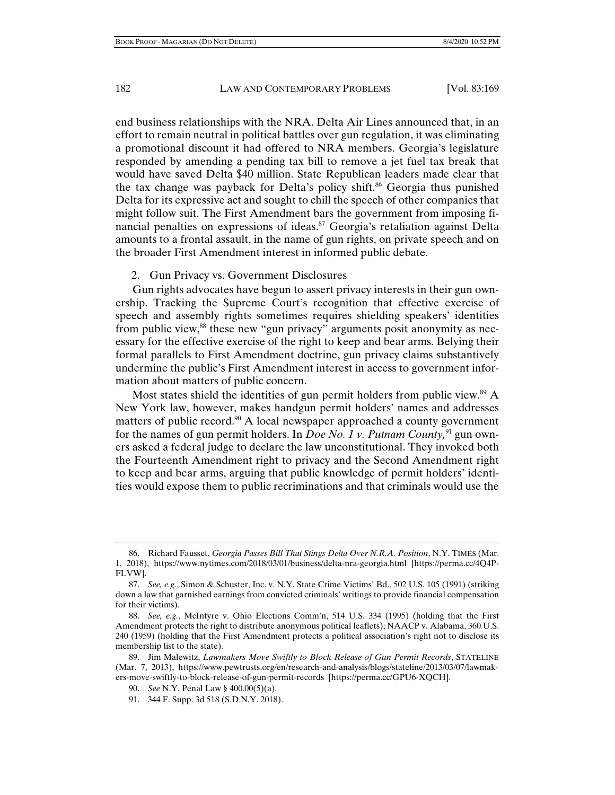end business relationships with the NRA. Delta Air Lines announced that, in an effort to remain neutral in political battles over gun regulation, it was eliminating a promotional discount it had offered to NRA members. Georgia's legislature responded by amending a pending tax bill to remove a jet fuel tax break that would have saved Delta \$40 million. State Republican leaders made clear that the tax change was payback for Delta's policy shift.<sup>86</sup> Georgia thus punished Delta for its expressive act and sought to chill the speech of other companies that might follow suit. The First Amendment bars the government from imposing financial penalties on expressions of ideas.<sup>87</sup> Georgia's retaliation against Delta amounts to a frontal assault, in the name of gun rights, on private speech and on the broader First Amendment interest in informed public debate.

#### 2. Gun Privacy vs. Government Disclosures

Gun rights advocates have begun to assert privacy interests in their gun ownership. Tracking the Supreme Court's recognition that effective exercise of speech and assembly rights sometimes requires shielding speakers' identities from public view,<sup>88</sup> these new "gun privacy" arguments posit anonymity as necessary for the effective exercise of the right to keep and bear arms. Belying their formal parallels to First Amendment doctrine, gun privacy claims substantively undermine the public's First Amendment interest in access to government information about matters of public concern.

Most states shield the identities of gun permit holders from public view.<sup>89</sup> A New York law, however, makes handgun permit holders' names and addresses matters of public record.<sup>90</sup> A local newspaper approached a county government for the names of gun permit holders. In *Doe No. 1 v. Putnam County,*91 gun owners asked a federal judge to declare the law unconstitutional. They invoked both the Fourteenth Amendment right to privacy and the Second Amendment right to keep and bear arms, arguing that public knowledge of permit holders' identities would expose them to public recriminations and that criminals would use the

 <sup>86.</sup> Richard Fausset, *Georgia Passes Bill That Stings Delta Over N.R.A. Position*, N.Y. TIMES (Mar. 1, 2018), https://www.nytimes.com/2018/03/01/business/delta-nra-georgia.html [https://perma.cc/4Q4P-FLVW].

 <sup>87.</sup> *See, e.g.*, Simon & Schuster, Inc. v. N.Y. State Crime Victims' Bd., 502 U.S. 105 (1991) (striking down a law that garnished earnings from convicted criminals' writings to provide financial compensation for their victims).

 <sup>88.</sup> *See, e.g.*, McIntyre v. Ohio Elections Comm'n, 514 U.S. 334 (1995) (holding that the First Amendment protects the right to distribute anonymous political leaflets); NAACP v. Alabama, 360 U.S. 240 (1959) (holding that the First Amendment protects a political association's right not to disclose its membership list to the state).

 <sup>89.</sup> Jim Malewitz, *Lawmakers Move Swiftly to Block Release of Gun Permit Records*, STATELINE (Mar. 7, 2013), https://www.pewtrusts.org/en/research-and-analysis/blogs/stateline/2013/03/07/lawmakers-move-swiftly-to-block-release-of-gun-permit-records [https://perma.cc/GPU6-XQCH].

 <sup>90.</sup> *See* N.Y. Penal Law § 400.00(5)(a).

 <sup>91. 344</sup> F. Supp. 3d 518 (S.D.N.Y. 2018).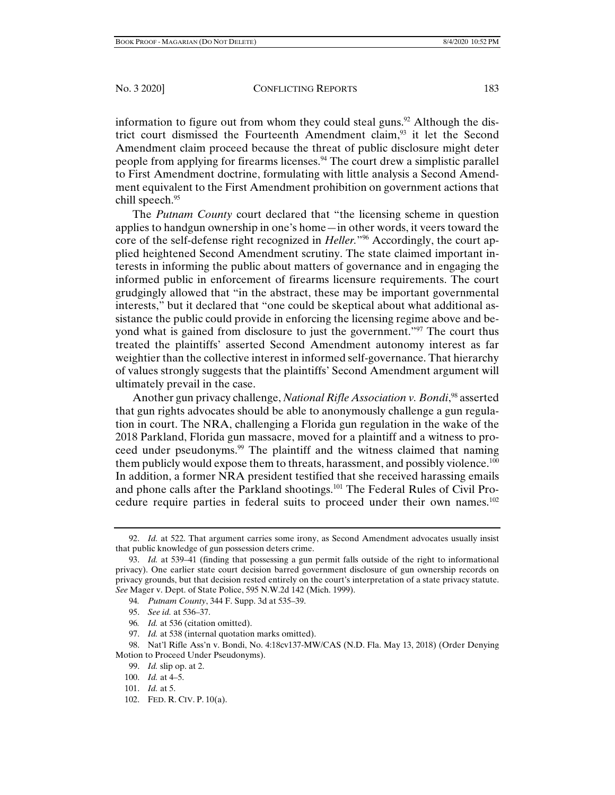information to figure out from whom they could steal guns.<sup>92</sup> Although the district court dismissed the Fourteenth Amendment claim,<sup>93</sup> it let the Second Amendment claim proceed because the threat of public disclosure might deter people from applying for firearms licenses.<sup>94</sup> The court drew a simplistic parallel to First Amendment doctrine, formulating with little analysis a Second Amendment equivalent to the First Amendment prohibition on government actions that chill speech.<sup>95</sup>

The *Putnam County* court declared that "the licensing scheme in question applies to handgun ownership in one's home—in other words, it veers toward the core of the self-defense right recognized in *Heller.*"96 Accordingly, the court applied heightened Second Amendment scrutiny. The state claimed important interests in informing the public about matters of governance and in engaging the informed public in enforcement of firearms licensure requirements. The court grudgingly allowed that "in the abstract, these may be important governmental interests," but it declared that "one could be skeptical about what additional assistance the public could provide in enforcing the licensing regime above and beyond what is gained from disclosure to just the government."<sup>97</sup> The court thus treated the plaintiffs' asserted Second Amendment autonomy interest as far weightier than the collective interest in informed self-governance. That hierarchy of values strongly suggests that the plaintiffs' Second Amendment argument will ultimately prevail in the case.

Another gun privacy challenge, *National Rifle Association v. Bondi*,<sup>98</sup> asserted that gun rights advocates should be able to anonymously challenge a gun regulation in court. The NRA, challenging a Florida gun regulation in the wake of the 2018 Parkland, Florida gun massacre, moved for a plaintiff and a witness to proceed under pseudonyms.99 The plaintiff and the witness claimed that naming them publicly would expose them to threats, harassment, and possibly violence.<sup>100</sup> In addition, a former NRA president testified that she received harassing emails and phone calls after the Parkland shootings.<sup>101</sup> The Federal Rules of Civil Procedure require parties in federal suits to proceed under their own names.102

<sup>92.</sup> *Id.* at 522. That argument carries some irony, as Second Amendment advocates usually insist that public knowledge of gun possession deters crime.

 <sup>93.</sup> *Id.* at 539–41 (finding that possessing a gun permit falls outside of the right to informational privacy). One earlier state court decision barred government disclosure of gun ownership records on privacy grounds, but that decision rested entirely on the court's interpretation of a state privacy statute. *See* Mager v. Dept. of State Police, 595 N.W.2d 142 (Mich. 1999).

<sup>94</sup>*. Putnam County*, 344 F. Supp. 3d at 535–39.

 <sup>95.</sup> *See id.* at 536–37.

<sup>96</sup>*. Id.* at 536 (citation omitted).

 <sup>97.</sup> *Id.* at 538 (internal quotation marks omitted).

 <sup>98.</sup> Nat'l Rifle Ass'n v. Bondi, No. 4:18cv137-MW/CAS (N.D. Fla. May 13, 2018) (Order Denying Motion to Proceed Under Pseudonyms).

 <sup>99.</sup> *Id.* slip op. at 2.

 <sup>100.</sup> *Id.* at 4–5.

 <sup>101.</sup> *Id.* at 5.

 <sup>102.</sup> FED. R. CIV. P. 10(a).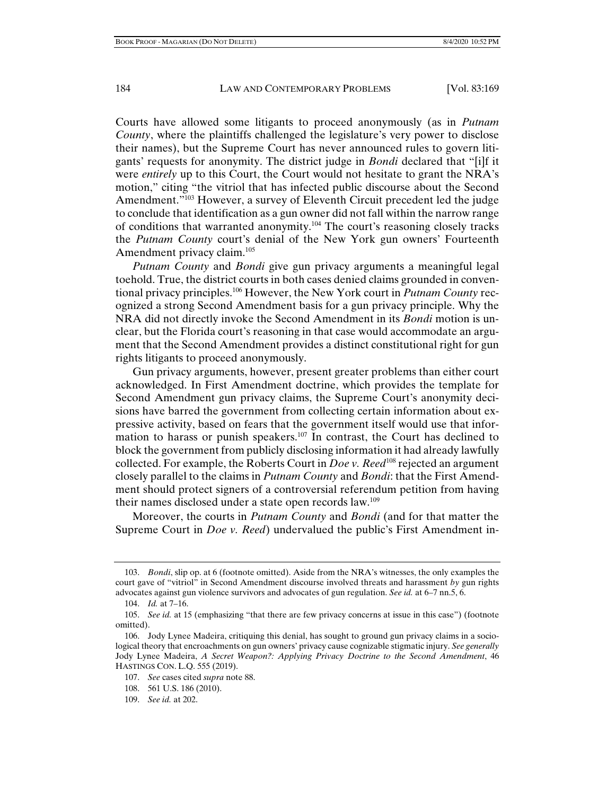Courts have allowed some litigants to proceed anonymously (as in *Putnam County*, where the plaintiffs challenged the legislature's very power to disclose their names), but the Supreme Court has never announced rules to govern litigants' requests for anonymity. The district judge in *Bondi* declared that "[i]f it were *entirely* up to this Court, the Court would not hesitate to grant the NRA's motion," citing "the vitriol that has infected public discourse about the Second Amendment."<sup>103</sup> However, a survey of Eleventh Circuit precedent led the judge to conclude that identification as a gun owner did not fall within the narrow range of conditions that warranted anonymity.104 The court's reasoning closely tracks the *Putnam County* court's denial of the New York gun owners' Fourteenth Amendment privacy claim.<sup>105</sup>

*Putnam County* and *Bondi* give gun privacy arguments a meaningful legal toehold. True, the district courts in both cases denied claims grounded in conventional privacy principles.106 However, the New York court in *Putnam County* recognized a strong Second Amendment basis for a gun privacy principle. Why the NRA did not directly invoke the Second Amendment in its *Bondi* motion is unclear, but the Florida court's reasoning in that case would accommodate an argument that the Second Amendment provides a distinct constitutional right for gun rights litigants to proceed anonymously.

Gun privacy arguments, however, present greater problems than either court acknowledged. In First Amendment doctrine, which provides the template for Second Amendment gun privacy claims, the Supreme Court's anonymity decisions have barred the government from collecting certain information about expressive activity, based on fears that the government itself would use that information to harass or punish speakers.107 In contrast, the Court has declined to block the government from publicly disclosing information it had already lawfully collected. For example, the Roberts Court in *Doe v. Reed*<sup>108</sup> rejected an argument closely parallel to the claims in *Putnam County* and *Bondi*: that the First Amendment should protect signers of a controversial referendum petition from having their names disclosed under a state open records law.109

Moreover, the courts in *Putnam County* and *Bondi* (and for that matter the Supreme Court in *Doe v. Reed*) undervalued the public's First Amendment in-

 <sup>103.</sup> *Bondi*, slip op. at 6 (footnote omitted). Aside from the NRA's witnesses, the only examples the court gave of "vitriol" in Second Amendment discourse involved threats and harassment *by* gun rights advocates against gun violence survivors and advocates of gun regulation. *See id.* at 6–7 nn.5, 6.

 <sup>104.</sup> *Id.* at 7–16.

 <sup>105.</sup> *See id.* at 15 (emphasizing "that there are few privacy concerns at issue in this case") (footnote omitted).

 <sup>106.</sup> Jody Lynee Madeira, critiquing this denial, has sought to ground gun privacy claims in a sociological theory that encroachments on gun owners' privacy cause cognizable stigmatic injury. *See generally*  Jody Lynee Madeira, *A Secret Weapon?: Applying Privacy Doctrine to the Second Amendment*, 46 HASTINGS CON. L.Q. 555 (2019).

 <sup>107.</sup> *See* cases cited *supra* note 88.

 <sup>108. 561</sup> U.S. 186 (2010).

 <sup>109.</sup> *See id.* at 202.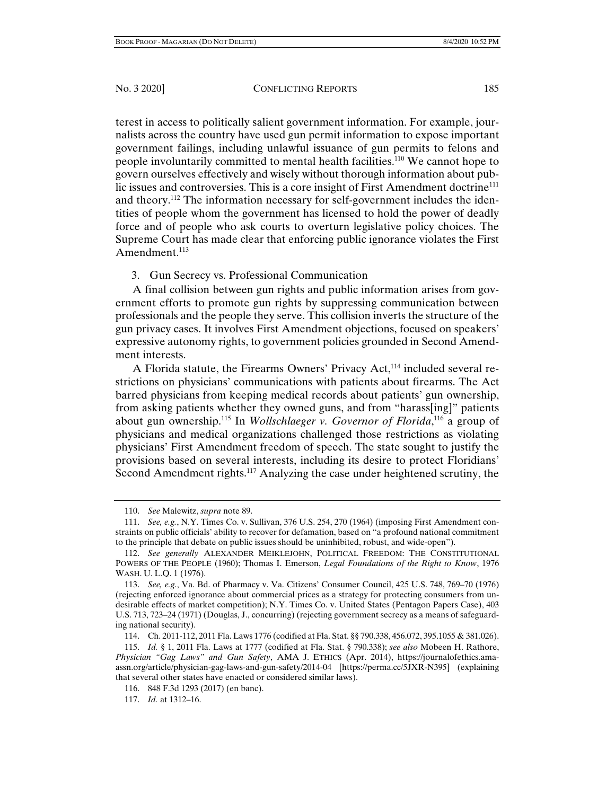terest in access to politically salient government information. For example, journalists across the country have used gun permit information to expose important government failings, including unlawful issuance of gun permits to felons and people involuntarily committed to mental health facilities.110 We cannot hope to govern ourselves effectively and wisely without thorough information about public issues and controversies. This is a core insight of First Amendment doctrine<sup>111</sup> and theory.<sup>112</sup> The information necessary for self-government includes the identities of people whom the government has licensed to hold the power of deadly force and of people who ask courts to overturn legislative policy choices. The Supreme Court has made clear that enforcing public ignorance violates the First Amendment.<sup>113</sup>

# 3. Gun Secrecy vs. Professional Communication

A final collision between gun rights and public information arises from government efforts to promote gun rights by suppressing communication between professionals and the people they serve. This collision inverts the structure of the gun privacy cases. It involves First Amendment objections, focused on speakers' expressive autonomy rights, to government policies grounded in Second Amendment interests.

A Florida statute, the Firearms Owners' Privacy Act,<sup>114</sup> included several restrictions on physicians' communications with patients about firearms. The Act barred physicians from keeping medical records about patients' gun ownership, from asking patients whether they owned guns, and from "harass[ing]" patients about gun ownership.115 In *Wollschlaeger v. Governor of Florida*, 116 a group of physicians and medical organizations challenged those restrictions as violating physicians' First Amendment freedom of speech. The state sought to justify the provisions based on several interests, including its desire to protect Floridians' Second Amendment rights.<sup>117</sup> Analyzing the case under heightened scrutiny, the

 <sup>110.</sup> *See* Malewitz, *supra* note 89.

 <sup>111.</sup> *See, e.g.*, N.Y. Times Co. v. Sullivan, 376 U.S. 254, 270 (1964) (imposing First Amendment constraints on public officials' ability to recover for defamation, based on "a profound national commitment to the principle that debate on public issues should be uninhibited, robust, and wide-open").

 <sup>112.</sup> *See generally* ALEXANDER MEIKLEJOHN, POLITICAL FREEDOM: THE CONSTITUTIONAL POWERS OF THE PEOPLE (1960); Thomas I. Emerson, *Legal Foundations of the Right to Know*, 1976 WASH. U. L.Q. 1 (1976).

 <sup>113.</sup> *See, e.g.*, Va. Bd. of Pharmacy v. Va. Citizens' Consumer Council, 425 U.S. 748, 769–70 (1976) (rejecting enforced ignorance about commercial prices as a strategy for protecting consumers from undesirable effects of market competition); N.Y. Times Co. v. United States (Pentagon Papers Case), 403 U.S. 713, 723–24 (1971) (Douglas, J., concurring) (rejecting government secrecy as a means of safeguarding national security).

 <sup>114.</sup> Ch. 2011-112, 2011 Fla. Laws 1776 (codified at Fla. Stat. §§ 790.338, 456.072, 395.1055 & 381.026).

 <sup>115.</sup> *Id.* § 1, 2011 Fla. Laws at 1777 (codified at Fla. Stat. § 790.338); *see also* Mobeen H. Rathore, *Physician "Gag Laws" and Gun Safety*, AMA J. ETHICS (Apr. 2014), https://journalofethics.amaassn.org/article/physician-gag-laws-and-gun-safety/2014-04 [https://perma.cc/5JXR-N395] (explaining that several other states have enacted or considered similar laws).

 <sup>116. 848</sup> F.3d 1293 (2017) (en banc).

 <sup>117.</sup> *Id.* at 1312–16.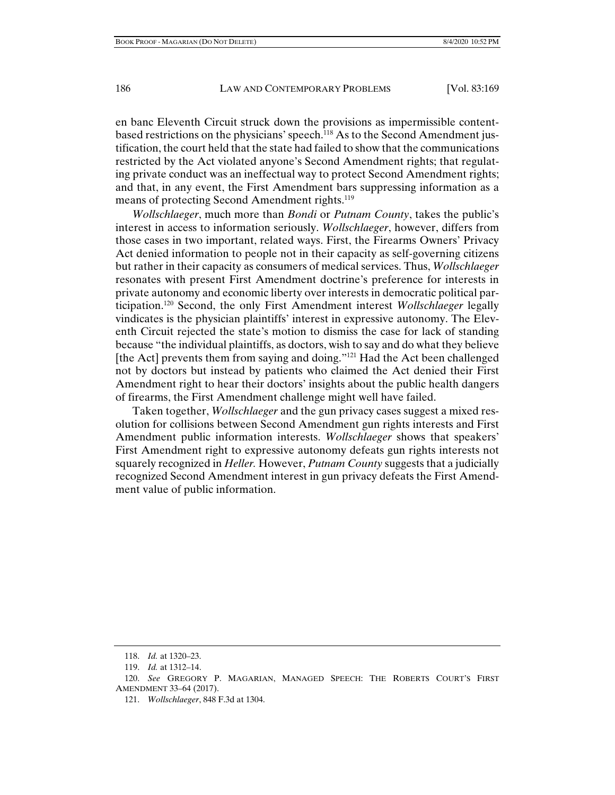en banc Eleventh Circuit struck down the provisions as impermissible contentbased restrictions on the physicians' speech.118 As to the Second Amendment justification, the court held that the state had failed to show that the communications restricted by the Act violated anyone's Second Amendment rights; that regulating private conduct was an ineffectual way to protect Second Amendment rights; and that, in any event, the First Amendment bars suppressing information as a means of protecting Second Amendment rights.<sup>119</sup>

*Wollschlaeger*, much more than *Bondi* or *Putnam County*, takes the public's interest in access to information seriously. *Wollschlaeger*, however, differs from those cases in two important, related ways. First, the Firearms Owners' Privacy Act denied information to people not in their capacity as self-governing citizens but rather in their capacity as consumers of medical services. Thus, *Wollschlaeger* resonates with present First Amendment doctrine's preference for interests in private autonomy and economic liberty over interests in democratic political participation.120 Second, the only First Amendment interest *Wollschlaeger* legally vindicates is the physician plaintiffs' interest in expressive autonomy. The Eleventh Circuit rejected the state's motion to dismiss the case for lack of standing because "the individual plaintiffs, as doctors, wish to say and do what they believe [the Act] prevents them from saying and doing."<sup>121</sup> Had the Act been challenged not by doctors but instead by patients who claimed the Act denied their First Amendment right to hear their doctors' insights about the public health dangers of firearms, the First Amendment challenge might well have failed.

Taken together, *Wollschlaeger* and the gun privacy cases suggest a mixed resolution for collisions between Second Amendment gun rights interests and First Amendment public information interests. *Wollschlaeger* shows that speakers' First Amendment right to expressive autonomy defeats gun rights interests not squarely recognized in *Heller.* However, *Putnam County* suggests that a judicially recognized Second Amendment interest in gun privacy defeats the First Amendment value of public information.

 <sup>118.</sup> *Id.* at 1320–23.

 <sup>119.</sup> *Id.* at 1312–14.

 <sup>120.</sup> *See* GREGORY P. MAGARIAN, MANAGED SPEECH: THE ROBERTS COURT'S FIRST AMENDMENT 33–64 (2017).

 <sup>121.</sup> *Wollschlaeger*, 848 F.3d at 1304.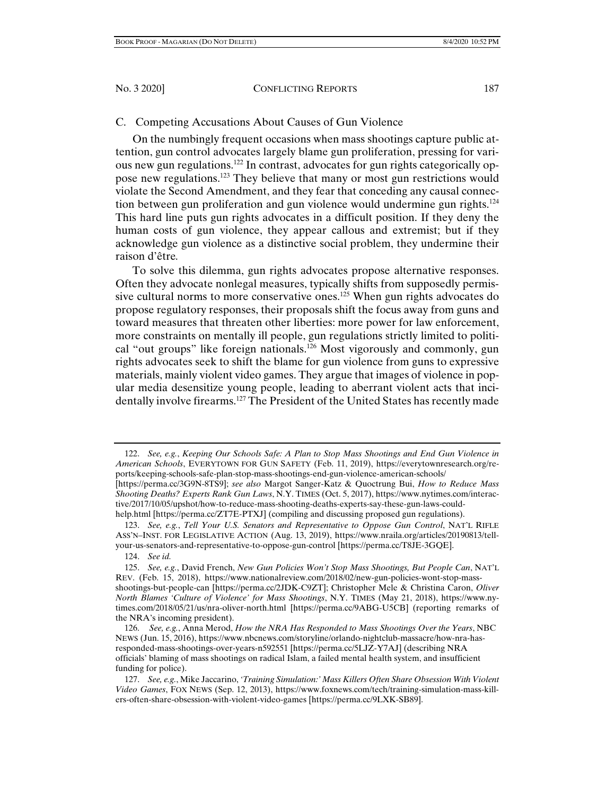## C. Competing Accusations About Causes of Gun Violence

On the numbingly frequent occasions when mass shootings capture public attention, gun control advocates largely blame gun proliferation, pressing for various new gun regulations.122 In contrast, advocates for gun rights categorically oppose new regulations.123 They believe that many or most gun restrictions would violate the Second Amendment, and they fear that conceding any causal connection between gun proliferation and gun violence would undermine gun rights.<sup>124</sup> This hard line puts gun rights advocates in a difficult position. If they deny the human costs of gun violence, they appear callous and extremist; but if they acknowledge gun violence as a distinctive social problem, they undermine their raison d'être*.*

To solve this dilemma, gun rights advocates propose alternative responses. Often they advocate nonlegal measures, typically shifts from supposedly permissive cultural norms to more conservative ones.<sup>125</sup> When gun rights advocates do propose regulatory responses, their proposals shift the focus away from guns and toward measures that threaten other liberties: more power for law enforcement, more constraints on mentally ill people, gun regulations strictly limited to political "out groups" like foreign nationals.126 Most vigorously and commonly, gun rights advocates seek to shift the blame for gun violence from guns to expressive materials, mainly violent video games. They argue that images of violence in popular media desensitize young people, leading to aberrant violent acts that incidentally involve firearms.<sup>127</sup> The President of the United States has recently made

 122. *See, e.g.*, *Keeping Our Schools Safe: A Plan to Stop Mass Shootings and End Gun Violence in American Schools*, EVERYTOWN FOR GUN SAFETY (Feb. 11, 2019), https://everytownresearch.org/reports/keeping-schools-safe-plan-stop-mass-shootings-end-gun-violence-american-schools/

<sup>[</sup>https://perma.cc/3G9N-8TS9]; *see also* Margot Sanger-Katz & Quoctrung Bui, *How to Reduce Mass Shooting Deaths? Experts Rank Gun Laws*, N.Y. TIMES (Oct. 5, 2017), https://www.nytimes.com/interactive/2017/10/05/upshot/how-to-reduce-mass-shooting-deaths-experts-say-these-gun-laws-couldhelp.html [https://perma.cc/ZT7E-PTXJ] (compiling and discussing proposed gun regulations).

 <sup>123.</sup> *See, e.g.*, *Tell Your U.S. Senators and Representative to Oppose Gun Control*, NAT'L RIFLE ASS'N–INST. FOR LEGISLATIVE ACTION (Aug. 13, 2019), https://www.nraila.org/articles/20190813/tellyour-us-senators-and-representative-to-oppose-gun-control [https://perma.cc/T8JE-3GQE].

 <sup>124.</sup> *See id.*

 <sup>125.</sup> *See, e.g.*, David French, *New Gun Policies Won't Stop Mass Shootings, But People Can*, NAT'L REV. (Feb. 15, 2018), https://www.nationalreview.com/2018/02/new-gun-policies-wont-stop-massshootings-but-people-can [https://perma.cc/2JDK-C9ZT]; Christopher Mele & Christina Caron, *Oliver North Blames 'Culture of Violence' for Mass Shootings*, N.Y. TIMES (May 21, 2018), https://www.nytimes.com/2018/05/21/us/nra-oliver-north.html [https://perma.cc/9ABG-U5CB] (reporting remarks of the NRA's incoming president).

 <sup>126.</sup> *See, e.g.*, Anna Merod, *How the NRA Has Responded to Mass Shootings Over the Years*, NBC NEWS (Jun. 15, 2016), https://www.nbcnews.com/storyline/orlando-nightclub-massacre/how-nra-hasresponded-mass-shootings-over-years-n592551 [https://perma.cc/5LJZ-Y7AJ] (describing NRA officials' blaming of mass shootings on radical Islam, a failed mental health system, and insufficient funding for police).

 <sup>127.</sup> *See, e.g.*, Mike Jaccarino, *'Training Simulation:' Mass Killers Often Share Obsession With Violent Video Games*, FOX NEWS (Sep. 12, 2013), https://www.foxnews.com/tech/training-simulation-mass-killers-often-share-obsession-with-violent-video-games [https://perma.cc/9LXK-SB89].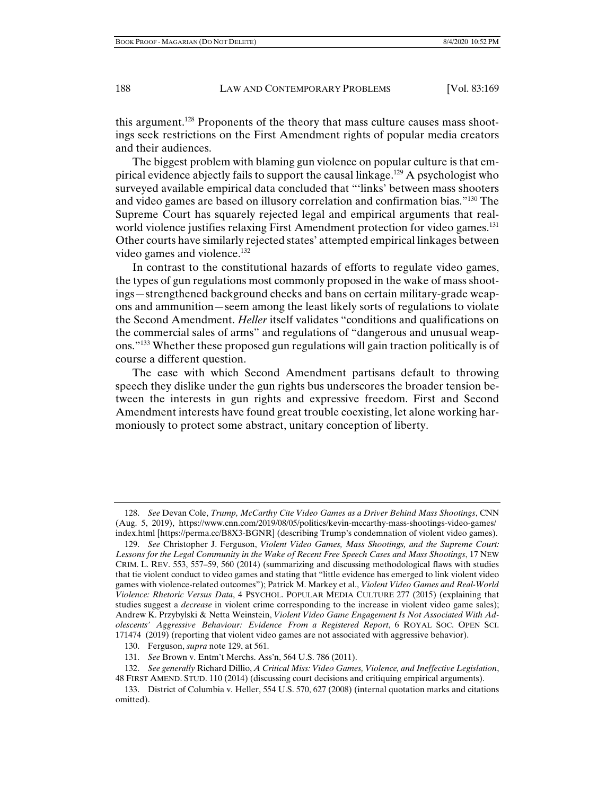this argument.<sup>128</sup> Proponents of the theory that mass culture causes mass shootings seek restrictions on the First Amendment rights of popular media creators and their audiences.

The biggest problem with blaming gun violence on popular culture is that empirical evidence abjectly fails to support the causal linkage.129 A psychologist who surveyed available empirical data concluded that "'links' between mass shooters and video games are based on illusory correlation and confirmation bias."130 The Supreme Court has squarely rejected legal and empirical arguments that realworld violence justifies relaxing First Amendment protection for video games.<sup>131</sup> Other courts have similarly rejected states' attempted empirical linkages between video games and violence. $132$ 

In contrast to the constitutional hazards of efforts to regulate video games, the types of gun regulations most commonly proposed in the wake of mass shootings—strengthened background checks and bans on certain military-grade weapons and ammunition—seem among the least likely sorts of regulations to violate the Second Amendment. *Heller* itself validates "conditions and qualifications on the commercial sales of arms" and regulations of "dangerous and unusual weapons."133 Whether these proposed gun regulations will gain traction politically is of course a different question.

The ease with which Second Amendment partisans default to throwing speech they dislike under the gun rights bus underscores the broader tension between the interests in gun rights and expressive freedom. First and Second Amendment interests have found great trouble coexisting, let alone working harmoniously to protect some abstract, unitary conception of liberty.

 <sup>128.</sup> *See* Devan Cole, *Trump, McCarthy Cite Video Games as a Driver Behind Mass Shootings*, CNN (Aug. 5, 2019), https://www.cnn.com/2019/08/05/politics/kevin-mccarthy-mass-shootings-video-games/ index.html [https://perma.cc/B8X3-BGNR] (describing Trump's condemnation of violent video games).

 <sup>129.</sup> *See* Christopher J. Ferguson, *Violent Video Games, Mass Shootings, and the Supreme Court: Lessons for the Legal Community in the Wake of Recent Free Speech Cases and Mass Shootings*, 17 NEW CRIM. L. REV. 553, 557–59, 560 (2014) (summarizing and discussing methodological flaws with studies that tie violent conduct to video games and stating that "little evidence has emerged to link violent video games with violence-related outcomes"); Patrick M. Markey et al., *Violent Video Games and Real-World Violence: Rhetoric Versus Data*, 4 PSYCHOL. POPULAR MEDIA CULTURE 277 (2015) (explaining that studies suggest a *decrease* in violent crime corresponding to the increase in violent video game sales); Andrew K. Przybylski & Netta Weinstein, *Violent Video Game Engagement Is Not Associated With Adolescents' Aggressive Behaviour: Evidence From a Registered Report*, 6 ROYAL SOC. OPEN SCI. 171474 (2019) (reporting that violent video games are not associated with aggressive behavior).

 <sup>130.</sup> Ferguson, *supra* note 129, at 561.

 <sup>131.</sup> *See* Brown v. Entm't Merchs. Ass'n, 564 U.S. 786 (2011).

 <sup>132.</sup> *See generally* Richard Dillio, *A Critical Miss: Video Games, Violence, and Ineffective Legislation*, 48 FIRST AMEND. STUD. 110 (2014) (discussing court decisions and critiquing empirical arguments).

 <sup>133.</sup> District of Columbia v. Heller, 554 U.S. 570, 627 (2008) (internal quotation marks and citations omitted).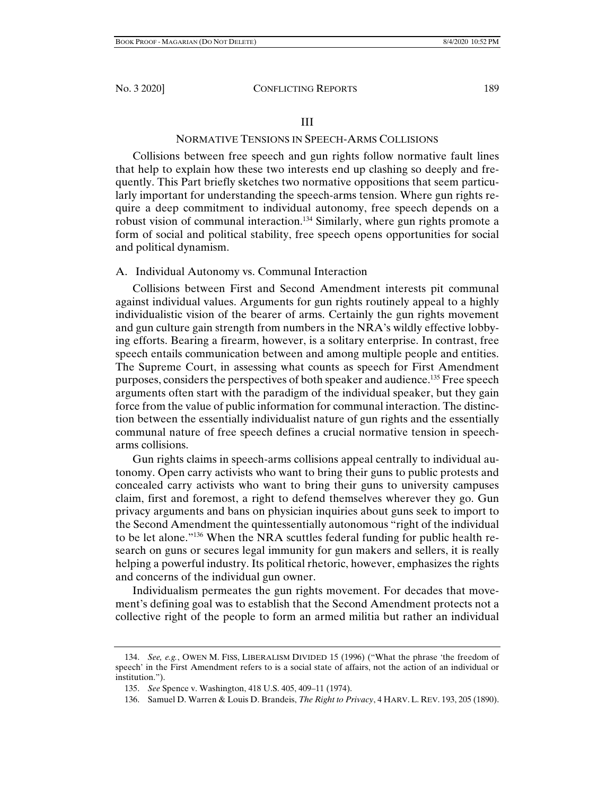# NORMATIVE TENSIONS IN SPEECH-ARMS COLLISIONS

Collisions between free speech and gun rights follow normative fault lines that help to explain how these two interests end up clashing so deeply and frequently. This Part briefly sketches two normative oppositions that seem particularly important for understanding the speech-arms tension. Where gun rights require a deep commitment to individual autonomy, free speech depends on a robust vision of communal interaction.134 Similarly, where gun rights promote a form of social and political stability, free speech opens opportunities for social and political dynamism.

# A. Individual Autonomy vs. Communal Interaction

Collisions between First and Second Amendment interests pit communal against individual values. Arguments for gun rights routinely appeal to a highly individualistic vision of the bearer of arms. Certainly the gun rights movement and gun culture gain strength from numbers in the NRA's wildly effective lobbying efforts. Bearing a firearm, however, is a solitary enterprise. In contrast, free speech entails communication between and among multiple people and entities. The Supreme Court, in assessing what counts as speech for First Amendment purposes, considers the perspectives of both speaker and audience.<sup>135</sup> Free speech arguments often start with the paradigm of the individual speaker, but they gain force from the value of public information for communal interaction. The distinction between the essentially individualist nature of gun rights and the essentially communal nature of free speech defines a crucial normative tension in speecharms collisions.

Gun rights claims in speech-arms collisions appeal centrally to individual autonomy. Open carry activists who want to bring their guns to public protests and concealed carry activists who want to bring their guns to university campuses claim, first and foremost, a right to defend themselves wherever they go. Gun privacy arguments and bans on physician inquiries about guns seek to import to the Second Amendment the quintessentially autonomous "right of the individual to be let alone."<sup>136</sup> When the NRA scuttles federal funding for public health research on guns or secures legal immunity for gun makers and sellers, it is really helping a powerful industry. Its political rhetoric, however, emphasizes the rights and concerns of the individual gun owner.

Individualism permeates the gun rights movement. For decades that movement's defining goal was to establish that the Second Amendment protects not a collective right of the people to form an armed militia but rather an individual

 <sup>134.</sup> *See, e.g.*, OWEN M. FISS, LIBERALISM DIVIDED 15 (1996) ("What the phrase 'the freedom of speech' in the First Amendment refers to is a social state of affairs, not the action of an individual or institution.").

 <sup>135.</sup> *See* Spence v. Washington, 418 U.S. 405, 409–11 (1974).

 <sup>136.</sup> Samuel D. Warren & Louis D. Brandeis, *The Right to Privacy*, 4 HARV. L. REV. 193, 205 (1890).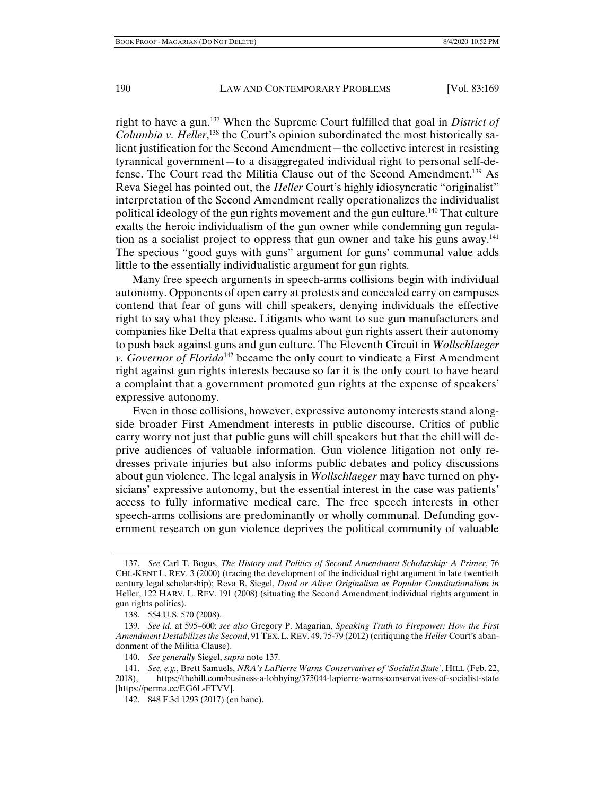right to have a gun.137 When the Supreme Court fulfilled that goal in *District of*  Columbia v. Heller,<sup>138</sup> the Court's opinion subordinated the most historically salient justification for the Second Amendment—the collective interest in resisting tyrannical government—to a disaggregated individual right to personal self-defense. The Court read the Militia Clause out of the Second Amendment.<sup>139</sup> As Reva Siegel has pointed out, the *Heller* Court's highly idiosyncratic "originalist" interpretation of the Second Amendment really operationalizes the individualist political ideology of the gun rights movement and the gun culture.140 That culture exalts the heroic individualism of the gun owner while condemning gun regulation as a socialist project to oppress that gun owner and take his guns away.<sup>141</sup> The specious "good guys with guns" argument for guns' communal value adds little to the essentially individualistic argument for gun rights.

Many free speech arguments in speech-arms collisions begin with individual autonomy. Opponents of open carry at protests and concealed carry on campuses contend that fear of guns will chill speakers, denying individuals the effective right to say what they please. Litigants who want to sue gun manufacturers and companies like Delta that express qualms about gun rights assert their autonomy to push back against guns and gun culture. The Eleventh Circuit in *Wollschlaeger v. Governor of Florida*<sup>142</sup> became the only court to vindicate a First Amendment right against gun rights interests because so far it is the only court to have heard a complaint that a government promoted gun rights at the expense of speakers' expressive autonomy.

Even in those collisions, however, expressive autonomy interests stand alongside broader First Amendment interests in public discourse. Critics of public carry worry not just that public guns will chill speakers but that the chill will deprive audiences of valuable information. Gun violence litigation not only redresses private injuries but also informs public debates and policy discussions about gun violence. The legal analysis in *Wollschlaeger* may have turned on physicians' expressive autonomy, but the essential interest in the case was patients' access to fully informative medical care. The free speech interests in other speech-arms collisions are predominantly or wholly communal. Defunding government research on gun violence deprives the political community of valuable

 <sup>137.</sup> *See* Carl T. Bogus, *The History and Politics of Second Amendment Scholarship: A Primer*, 76 CHI.-KENT L. REV. 3 (2000) (tracing the development of the individual right argument in late twentieth century legal scholarship); Reva B. Siegel, *Dead or Alive: Originalism as Popular Constitutionalism in*  Heller, 122 HARV. L. REV. 191 (2008) (situating the Second Amendment individual rights argument in gun rights politics).

 <sup>138. 554</sup> U.S. 570 (2008).

 <sup>139.</sup> *See id.* at 595–600; *see also* Gregory P. Magarian, *Speaking Truth to Firepower: How the First Amendment Destabilizes the Second*, 91 TEX.L. REV. 49, 75-79 (2012) (critiquing the *Heller* Court's abandonment of the Militia Clause).

 <sup>140.</sup> *See generally* Siegel, *supra* note 137.

 <sup>141.</sup> *See, e.g.*, Brett Samuels, *NRA's LaPierre Warns Conservatives of 'Socialist State'*, HILL (Feb. 22, 2018), https://thehill.com/business-a-lobbying/375044-lapierre-warns-conservatives-of-socialist-state [https://perma.cc/EG6L-FTVV].

 <sup>142. 848</sup> F.3d 1293 (2017) (en banc).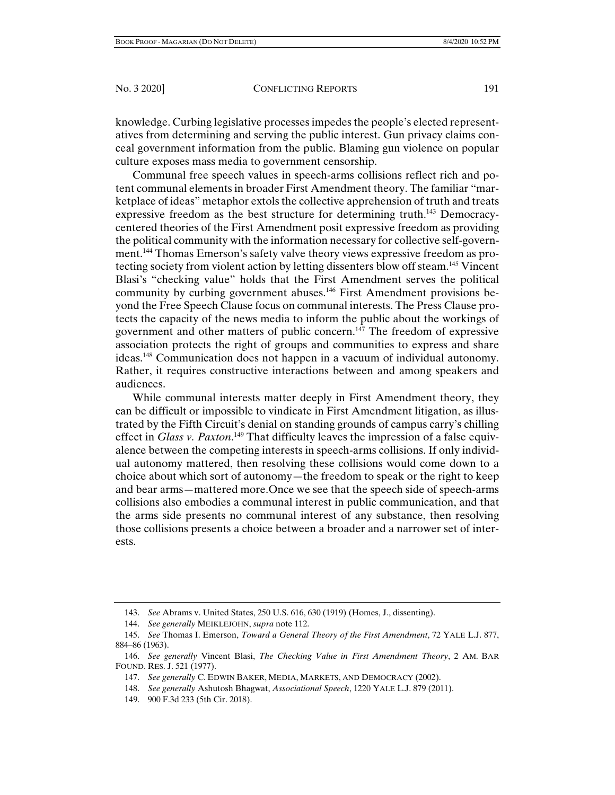knowledge. Curbing legislative processes impedes the people's elected representatives from determining and serving the public interest. Gun privacy claims conceal government information from the public. Blaming gun violence on popular culture exposes mass media to government censorship.

Communal free speech values in speech-arms collisions reflect rich and potent communal elements in broader First Amendment theory. The familiar "marketplace of ideas" metaphor extols the collective apprehension of truth and treats expressive freedom as the best structure for determining truth.<sup>143</sup> Democracycentered theories of the First Amendment posit expressive freedom as providing the political community with the information necessary for collective self-government.144 Thomas Emerson's safety valve theory views expressive freedom as protecting society from violent action by letting dissenters blow off steam.145 Vincent Blasi's "checking value" holds that the First Amendment serves the political community by curbing government abuses.<sup>146</sup> First Amendment provisions beyond the Free Speech Clause focus on communal interests. The Press Clause protects the capacity of the news media to inform the public about the workings of government and other matters of public concern.<sup>147</sup> The freedom of expressive association protects the right of groups and communities to express and share ideas.148 Communication does not happen in a vacuum of individual autonomy. Rather, it requires constructive interactions between and among speakers and audiences.

While communal interests matter deeply in First Amendment theory, they can be difficult or impossible to vindicate in First Amendment litigation, as illustrated by the Fifth Circuit's denial on standing grounds of campus carry's chilling effect in *Glass v. Paxton*.<sup>149</sup> That difficulty leaves the impression of a false equivalence between the competing interests in speech-arms collisions. If only individual autonomy mattered, then resolving these collisions would come down to a choice about which sort of autonomy—the freedom to speak or the right to keep and bear arms—mattered more.Once we see that the speech side of speech-arms collisions also embodies a communal interest in public communication, and that the arms side presents no communal interest of any substance, then resolving those collisions presents a choice between a broader and a narrower set of interests.

149. 900 F.3d 233 (5th Cir. 2018).

 <sup>143.</sup> *See* Abrams v. United States, 250 U.S. 616, 630 (1919) (Homes, J., dissenting).

 <sup>144.</sup> *See generally* MEIKLEJOHN, *supra* note 112.

 <sup>145.</sup> *See* Thomas I. Emerson, *Toward a General Theory of the First Amendment*, 72 YALE L.J. 877, 884–86 (1963).

 <sup>146.</sup> *See generally* Vincent Blasi, *The Checking Value in First Amendment Theory*, 2 AM. BAR FOUND. RES. J. 521 (1977).

 <sup>147.</sup> *See generally* C. EDWIN BAKER, MEDIA, MARKETS, AND DEMOCRACY (2002).

 <sup>148.</sup> *See generally* Ashutosh Bhagwat, *Associational Speech*, 1220 YALE L.J. 879 (2011).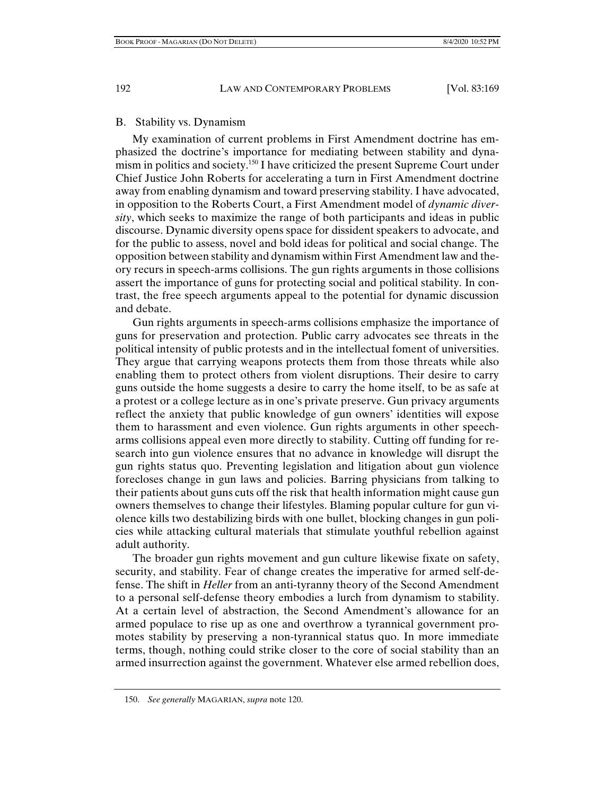## B. Stability vs. Dynamism

My examination of current problems in First Amendment doctrine has emphasized the doctrine's importance for mediating between stability and dynamism in politics and society.150 I have criticized the present Supreme Court under Chief Justice John Roberts for accelerating a turn in First Amendment doctrine away from enabling dynamism and toward preserving stability. I have advocated, in opposition to the Roberts Court, a First Amendment model of *dynamic diversity*, which seeks to maximize the range of both participants and ideas in public discourse. Dynamic diversity opens space for dissident speakers to advocate, and for the public to assess, novel and bold ideas for political and social change. The opposition between stability and dynamism within First Amendment law and theory recurs in speech-arms collisions. The gun rights arguments in those collisions assert the importance of guns for protecting social and political stability. In contrast, the free speech arguments appeal to the potential for dynamic discussion and debate.

Gun rights arguments in speech-arms collisions emphasize the importance of guns for preservation and protection. Public carry advocates see threats in the political intensity of public protests and in the intellectual foment of universities. They argue that carrying weapons protects them from those threats while also enabling them to protect others from violent disruptions. Their desire to carry guns outside the home suggests a desire to carry the home itself, to be as safe at a protest or a college lecture as in one's private preserve. Gun privacy arguments reflect the anxiety that public knowledge of gun owners' identities will expose them to harassment and even violence. Gun rights arguments in other speecharms collisions appeal even more directly to stability. Cutting off funding for research into gun violence ensures that no advance in knowledge will disrupt the gun rights status quo. Preventing legislation and litigation about gun violence forecloses change in gun laws and policies. Barring physicians from talking to their patients about guns cuts off the risk that health information might cause gun owners themselves to change their lifestyles. Blaming popular culture for gun violence kills two destabilizing birds with one bullet, blocking changes in gun policies while attacking cultural materials that stimulate youthful rebellion against adult authority.

The broader gun rights movement and gun culture likewise fixate on safety, security, and stability. Fear of change creates the imperative for armed self-defense. The shift in *Heller* from an anti-tyranny theory of the Second Amendment to a personal self-defense theory embodies a lurch from dynamism to stability. At a certain level of abstraction, the Second Amendment's allowance for an armed populace to rise up as one and overthrow a tyrannical government promotes stability by preserving a non-tyrannical status quo. In more immediate terms, though, nothing could strike closer to the core of social stability than an armed insurrection against the government. Whatever else armed rebellion does,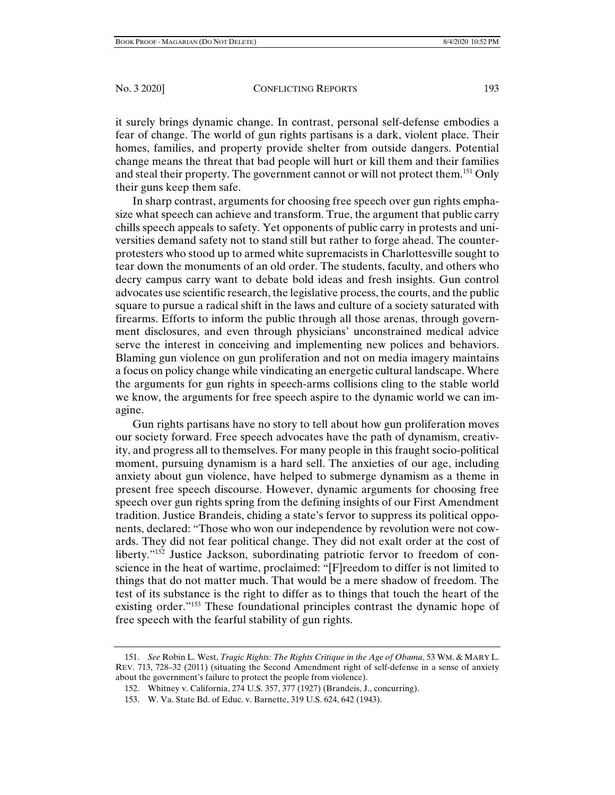it surely brings dynamic change. In contrast, personal self-defense embodies a fear of change. The world of gun rights partisans is a dark, violent place. Their homes, families, and property provide shelter from outside dangers. Potential change means the threat that bad people will hurt or kill them and their families and steal their property. The government cannot or will not protect them.<sup>151</sup> Only their guns keep them safe.

In sharp contrast, arguments for choosing free speech over gun rights emphasize what speech can achieve and transform. True, the argument that public carry chills speech appeals to safety. Yet opponents of public carry in protests and universities demand safety not to stand still but rather to forge ahead. The counterprotesters who stood up to armed white supremacists in Charlottesville sought to tear down the monuments of an old order. The students, faculty, and others who decry campus carry want to debate bold ideas and fresh insights. Gun control advocates use scientific research, the legislative process, the courts, and the public square to pursue a radical shift in the laws and culture of a society saturated with firearms. Efforts to inform the public through all those arenas, through government disclosures, and even through physicians' unconstrained medical advice serve the interest in conceiving and implementing new polices and behaviors. Blaming gun violence on gun proliferation and not on media imagery maintains a focus on policy change while vindicating an energetic cultural landscape. Where the arguments for gun rights in speech-arms collisions cling to the stable world we know, the arguments for free speech aspire to the dynamic world we can imagine.

Gun rights partisans have no story to tell about how gun proliferation moves our society forward. Free speech advocates have the path of dynamism, creativity, and progress all to themselves. For many people in this fraught socio-political moment, pursuing dynamism is a hard sell. The anxieties of our age, including anxiety about gun violence, have helped to submerge dynamism as a theme in present free speech discourse. However, dynamic arguments for choosing free speech over gun rights spring from the defining insights of our First Amendment tradition. Justice Brandeis, chiding a state's fervor to suppress its political opponents, declared: "Those who won our independence by revolution were not cowards. They did not fear political change. They did not exalt order at the cost of liberty."152 Justice Jackson, subordinating patriotic fervor to freedom of conscience in the heat of wartime, proclaimed: "[F]reedom to differ is not limited to things that do not matter much. That would be a mere shadow of freedom. The test of its substance is the right to differ as to things that touch the heart of the existing order."<sup>153</sup> These foundational principles contrast the dynamic hope of free speech with the fearful stability of gun rights.

 <sup>151.</sup> *See* Robin L. West, *Tragic Rights: The Rights Critique in the Age of Obama*, 53 WM. & MARY L. REV. 713, 728–32 (2011) (situating the Second Amendment right of self-defense in a sense of anxiety about the government's failure to protect the people from violence).

 <sup>152.</sup> Whitney v. California, 274 U.S. 357, 377 (1927) (Brandeis, J., concurring).

 <sup>153.</sup> W. Va. State Bd. of Educ. v. Barnette, 319 U.S. 624, 642 (1943).